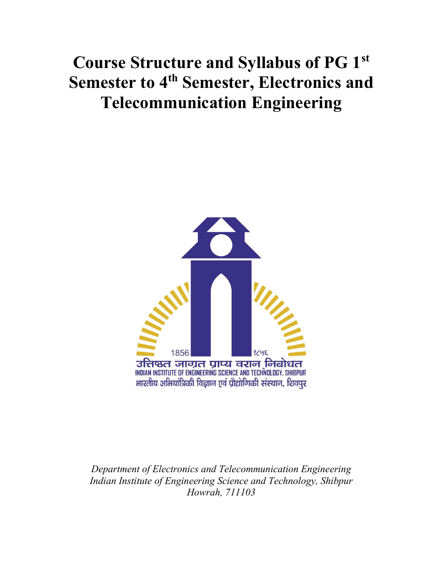# Course Structure and Syllabus of PG 1st Semester to 4<sup>th</sup> Semester, Electronics and Telecommunication Engineering



Department of Electronics and Telecommunication Engineering Indian Institute of Engineering Science and Technology, Shibpur Howrah, 711103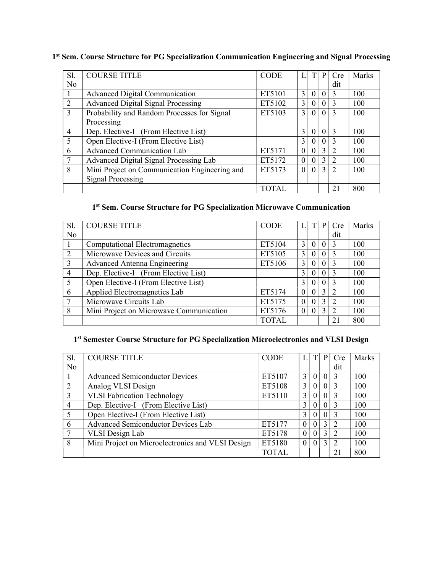|  |  |  |  |  | 1st Sem. Course Structure for PG Specialization Communication Engineering and Signal Processing |
|--|--|--|--|--|-------------------------------------------------------------------------------------------------|
|  |  |  |  |  |                                                                                                 |

| Sl.            | <b>COURSE TITLE</b>                           | <b>CODE</b>  |                |          | P             | Cre           | Marks |
|----------------|-----------------------------------------------|--------------|----------------|----------|---------------|---------------|-------|
| N <sub>o</sub> |                                               |              |                |          |               | dit           |       |
|                | <b>Advanced Digital Communication</b>         | ET5101       | 3              | $\theta$ |               | $\mathbf{3}$  | 100   |
| 2              | <b>Advanced Digital Signal Processing</b>     | ET5102       | 3              | 0        | $\Omega$      | 3             | 100   |
| $\mathcal{R}$  | Probability and Random Processes for Signal   | ET5103       | $\overline{3}$ | $\theta$ | $\Omega$      | $\mathcal{R}$ | 100   |
|                | Processing                                    |              |                |          |               |               |       |
| $\overline{4}$ | Dep. Elective-I (From Elective List)          |              | $\mathcal{E}$  | $\theta$ | $\Omega$      | $\mathcal{R}$ | 100   |
| 5              | Open Elective-I (From Elective List)          |              | 3              | 0        |               | 3             | 100   |
| 6              | <b>Advanced Communication Lab</b>             | ET5171       | $\Omega$       |          | 3             | 2             | 100   |
|                | Advanced Digital Signal Processing Lab        | ET5172       | $\Omega$       |          | $\mathcal{E}$ | 2             | 100   |
| 8              | Mini Project on Communication Engineering and | ET5173       | $\Omega$       | $\Omega$ | $\mathbf{3}$  | $\mathcal{D}$ | 100   |
|                | <b>Signal Processing</b>                      |              |                |          |               |               |       |
|                |                                               | <b>TOTAL</b> |                |          |               | 21            | 800   |

#### 1 st Sem. Course Structure for PG Specialization Microwave Communication

| Sl.            | <b>COURSE TITLE</b>                     | <b>CODE</b>  |          |          | P             | Cre           | Marks |
|----------------|-----------------------------------------|--------------|----------|----------|---------------|---------------|-------|
| No             |                                         |              |          |          |               | dit           |       |
|                | <b>Computational Electromagnetics</b>   | ET5104       | 3        | $\Omega$ |               |               | 100   |
| 2              | Microwave Devices and Circuits          | ET5105       | 3        | 0        |               |               | 100   |
| 3              | <b>Advanced Antenna Engineering</b>     | ET5106       | 3        | 0        |               | $\mathcal{R}$ | 100   |
| $\overline{4}$ | Dep. Elective-I (From Elective List)    |              | 3        | 0        |               | 3             | 100   |
| 5              | Open Elective-I (From Elective List)    |              | 3        | 0        |               |               | 100   |
| 6              | Applied Electromagnetics Lab            | ET5174       | $\theta$ | 0        | $\mathcal{L}$ | $\mathcal{D}$ | 100   |
|                | Microwave Circuits Lab                  | ET5175       | $\theta$ | 0        | 3             | $\mathcal{L}$ | 100   |
| 8              | Mini Project on Microwave Communication | ET5176       | $\theta$ | 0        | 3             | $\mathcal{D}$ | 100   |
|                |                                         | <b>TOTAL</b> |          |          |               | 21            | 800   |

#### 1<sup>st</sup> Semester Course Structure for PG Specialization Microelectronics and VLSI Design

| Sl.            | <b>COURSE TITLE</b>                              | <b>CODE</b>  |          | T        | P             | Cre           | Marks |
|----------------|--------------------------------------------------|--------------|----------|----------|---------------|---------------|-------|
| N <sub>0</sub> |                                                  |              |          |          |               | dit           |       |
|                | <b>Advanced Semiconductor Devices</b>            | ET5107       | 3        | $\Omega$ | $\Omega$      | 3             | 100   |
| 2              | Analog VLSI Design                               | ET5108       | 3        | $\theta$ | $\Omega$      | $\mathcal{R}$ | 100   |
| 3              | <b>VLSI Fabrication Technology</b>               | ET5110       | 3        | $\Omega$ |               | 3             | 100   |
| $\overline{4}$ | Dep. Elective-I (From Elective List)             |              | 3        | $\Omega$ |               | 3             | 100   |
| 5              | Open Elective-I (From Elective List)             |              | 3        | $\theta$ | $\Omega$      | 3             | 100   |
| 6              | <b>Advanced Semiconductor Devices Lab</b>        | ET5177       | 0        | $\Omega$ | $\mathcal{L}$ | $\mathcal{D}$ | 100   |
|                | <b>VLSI</b> Design Lab                           | ET5178       | 0        | $\Omega$ | 3             | 2             | 100   |
| 8              | Mini Project on Microelectronics and VLSI Design | ET5180       | $\Omega$ | $\Omega$ | $\mathcal{E}$ | $\mathcal{L}$ | 100   |
|                |                                                  | <b>TOTAL</b> |          |          |               | 21            | 800   |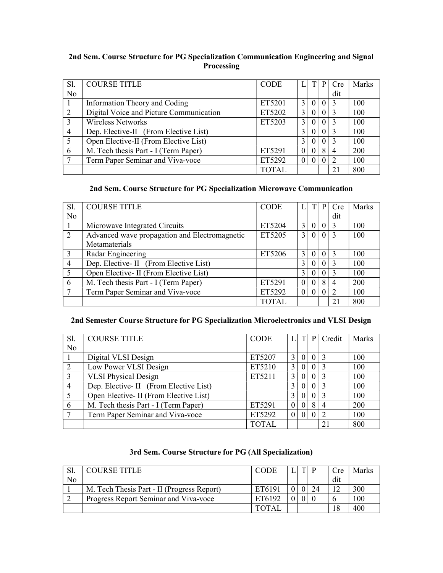#### 2nd Sem. Course Structure for PG Specialization Communication Engineering and Signal Processing

| Sl.            | <b>COURSE TITLE</b>                     | <b>CODE</b> |   |          | P | Cre            | Marks |
|----------------|-----------------------------------------|-------------|---|----------|---|----------------|-------|
| No             |                                         |             |   |          |   | dit            |       |
|                | Information Theory and Coding           | ET5201      | 3 | $\theta$ |   |                | 100   |
| 2              | Digital Voice and Picture Communication | ET5202      | 3 | $\Omega$ | 0 | $\mathcal{R}$  | 100   |
| 3              | <b>Wireless Networks</b>                | ET5203      | 3 | $\Omega$ | 0 |                | 100   |
| $\overline{4}$ | Dep. Elective-II (From Elective List)   |             | 3 | $\Omega$ |   |                | 100   |
| 5              | Open Elective-II (From Elective List)   |             | 3 | $\Omega$ | 0 | $\mathcal{R}$  | 100   |
| 6              | M. Tech thesis Part - I (Term Paper)    | ET5291      |   | $\Omega$ | 8 | $\overline{4}$ | 200   |
|                | Term Paper Seminar and Viva-voce        | ET5292      |   | $\Omega$ |   |                | 100   |
|                |                                         | TOTAL.      |   |          |   | 21             | 800   |

#### 2nd Sem. Course Structure for PG Specialization Microwave Communication

| Sl.            | <b>COURSE TITLE</b>                           | <b>CODE</b>  |          |          | P        | Cre            | Marks |
|----------------|-----------------------------------------------|--------------|----------|----------|----------|----------------|-------|
| N <sub>o</sub> |                                               |              |          |          |          | dit            |       |
|                | Microwave Integrated Circuits                 | ET5204       | 3        | $\theta$ |          | $\mathcal{R}$  | 100   |
| 2              | Advanced wave propagation and Electromagnetic | ET5205       | 3        | $\theta$ | $\Omega$ | $\mathcal{R}$  | 100   |
|                | Metamaterials                                 |              |          |          |          |                |       |
| 3              | Radar Engineering                             | ET5206       | 3        | $\Omega$ | $\Omega$ | 3              | 100   |
| $\overline{4}$ | Dep. Elective- II (From Elective List)        |              | 3        | $\Omega$ |          |                | 100   |
| 5              | Open Elective- II (From Elective List)        |              | 3        | $\Omega$ |          |                | 100   |
| 6              | M. Tech thesis Part - I (Term Paper)          | ET5291       |          |          | 8        | $\overline{4}$ | 200   |
|                | Term Paper Seminar and Viva-voce              | ET5292       | $\Omega$ |          |          | $\mathfrak{D}$ | 100   |
|                |                                               | <b>TOTAL</b> |          |          |          | 21             | 800   |

#### 2nd Semester Course Structure for PG Specialization Microelectronics and VLSI Design

| Sl.            | <b>COURSE TITLE</b>                    | <b>CODE</b>  |          | T | P        | Credit        | Marks |
|----------------|----------------------------------------|--------------|----------|---|----------|---------------|-------|
| N <sub>o</sub> |                                        |              |          |   |          |               |       |
|                | Digital VLSI Design                    | ET5207       | 3        |   |          |               | 100   |
| 2              | Low Power VLSI Design                  | ET5210       | 3        |   | $\Omega$ | $\mathcal{R}$ | 100   |
| 3              | <b>VLSI Physical Design</b>            | ET5211       | 3        |   |          |               | 100   |
| $\overline{4}$ | Dep. Elective- II (From Elective List) |              | 3        |   |          |               | 100   |
|                | Open Elective- II (From Elective List) |              | 3        |   |          |               | 100   |
| 6              | M. Tech thesis Part - I (Term Paper)   | ET5291       | $\Omega$ |   | 8        |               | 200   |
|                | Term Paper Seminar and Viva-voce       | ET5292       | $\Omega$ |   |          |               | 100   |
|                |                                        | <b>TOTAL</b> |          |   |          | 21            | 800   |

#### 3rd Sem. Course Structure for PG (All Specialization)

|    | COURSE TITLE                               | <b>CODE</b> |  | Cre. | Marks |
|----|--------------------------------------------|-------------|--|------|-------|
| No |                                            |             |  | dit  |       |
|    | M. Tech Thesis Part - II (Progress Report) | ET6191      |  |      | 300   |
|    | Progress Report Seminar and Viva-voce      | ET6192      |  |      | 100   |
|    |                                            |             |  |      | 400   |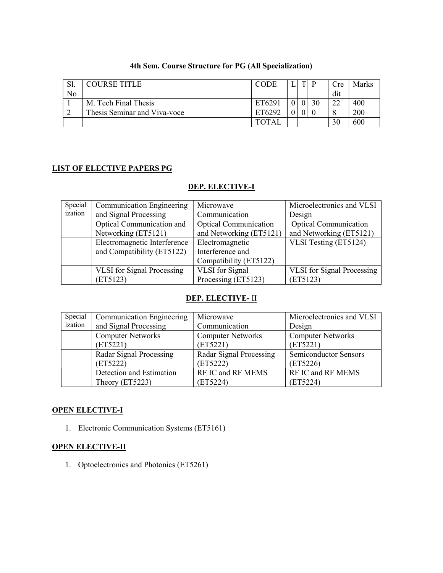|    | <b>COURSE TITLE</b>          | <b>CODE</b>  | тı | D | Cre | Marks |
|----|------------------------------|--------------|----|---|-----|-------|
| No |                              |              |    |   | dit |       |
|    | M. Tech Final Thesis         | ET6291       |    |   | າາ  | 400   |
|    | Thesis Seminar and Viva-voce | ET6292       |    |   |     | 200   |
|    |                              | <b>TOTAL</b> |    |   | 30  | 600   |

#### 4th Sem. Course Structure for PG (All Specialization)

#### LIST OF ELECTIVE PAPERS PG

#### DEP. ELECTIVE-I

| Special | <b>Communication Engineering</b>  | Microwave                    | Microelectronics and VLSI         |
|---------|-----------------------------------|------------------------------|-----------------------------------|
| ization | and Signal Processing             | Communication                | Design                            |
|         | Optical Communication and         | <b>Optical Communication</b> | <b>Optical Communication</b>      |
|         | Networking (ET5121)               | and Networking (ET5121)      | and Networking (ET5121)           |
|         | Electromagnetic Interference      | Electromagnetic              | VLSI Testing (ET5124)             |
|         | and Compatibility (ET5122)        | Interference and             |                                   |
|         |                                   | Compatibility (ET5122)       |                                   |
|         | <b>VLSI</b> for Signal Processing | VLSI for Signal              | <b>VLSI</b> for Signal Processing |
|         | (ET5123)                          | Processing (ET5123)          | (ET5123)                          |

#### DEP. ELECTIVE- II

| Special | <b>Communication Engineering</b> | Microwave                | Microelectronics and VLSI    |
|---------|----------------------------------|--------------------------|------------------------------|
| ization | and Signal Processing            | Communication            | Design                       |
|         | <b>Computer Networks</b>         | <b>Computer Networks</b> | <b>Computer Networks</b>     |
|         | (ET5221)                         | (ET5221)                 | (ET5221)                     |
|         | Radar Signal Processing          | Radar Signal Processing  | <b>Semiconductor Sensors</b> |
|         | (ET5222)                         | (ET5222)                 | (ET5226)                     |
|         | Detection and Estimation         | RF IC and RF MEMS        | RF IC and RF MEMS            |
|         | Theory (ET5223)                  | (ET5224)                 | (ET5224)                     |

#### OPEN ELECTIVE-I

1. Electronic Communication Systems (ET5161)

#### OPEN ELECTIVE-II

1. Optoelectronics and Photonics (ET5261)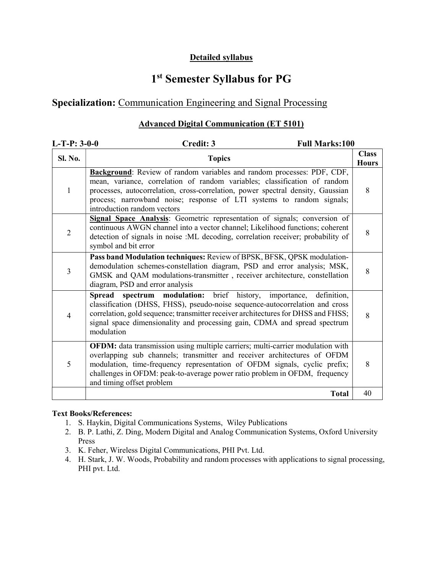#### Detailed syllabus

## 1 st Semester Syllabus for PG

## Specialization: Communication Engineering and Signal Processing

#### Advanced Digital Communication (ET 5101)

| $L-T-P: 3-0-0$ | <b>Full Marks:100</b><br>Credit: 3                                                                                                                                                                                                                                                                                                                 |                              |
|----------------|----------------------------------------------------------------------------------------------------------------------------------------------------------------------------------------------------------------------------------------------------------------------------------------------------------------------------------------------------|------------------------------|
| <b>Sl. No.</b> | <b>Topics</b>                                                                                                                                                                                                                                                                                                                                      | <b>Class</b><br><b>Hours</b> |
| 1              | Background: Review of random variables and random processes: PDF, CDF,<br>mean, variance, correlation of random variables; classification of random<br>processes, autocorrelation, cross-correlation, power spectral density, Gaussian<br>process; narrowband noise; response of LTI systems to random signals;<br>introduction random vectors     | 8                            |
| $\overline{2}$ | Signal Space Analysis: Geometric representation of signals; conversion of<br>continuous AWGN channel into a vector channel; Likelihood functions; coherent<br>detection of signals in noise :ML decoding, correlation receiver; probability of<br>symbol and bit error                                                                             | 8                            |
| 3              | Pass band Modulation techniques: Review of BPSK, BFSK, QPSK modulation-<br>demodulation schemes-constellation diagram, PSD and error analysis; MSK,<br>GMSK and QAM modulations-transmitter, receiver architecture, constellation<br>diagram, PSD and error analysis                                                                               | 8                            |
| 4              | Spread spectrum modulation: brief history, importance,<br>definition,<br>classification (DHSS, FHSS), pseudo-noise sequence-autocorrelation and cross<br>correlation, gold sequence; transmitter receiver architectures for DHSS and FHSS;<br>signal space dimensionality and processing gain, CDMA and spread spectrum<br>modulation              | 8                            |
| 5              | OFDM: data transmission using multiple carriers; multi-carrier modulation with<br>overlapping sub channels; transmitter and receiver architectures of OFDM<br>modulation, time-frequency representation of OFDM signals, cyclic prefix;<br>challenges in OFDM: peak-to-average power ratio problem in OFDM, frequency<br>and timing offset problem | 8                            |
|                | <b>Total</b>                                                                                                                                                                                                                                                                                                                                       | 40                           |

- 1. S. Haykin, Digital Communications Systems, Wiley Publications
- 2. B. P. Lathi, Z. Ding, Modern Digital and Analog Communication Systems, Oxford University Press
- 3. K. Feher, Wireless Digital Communications, PHI Pvt. Ltd.
- 4. H. Stark, J. W. Woods, Probability and random processes with applications to signal processing, PHI pvt. Ltd.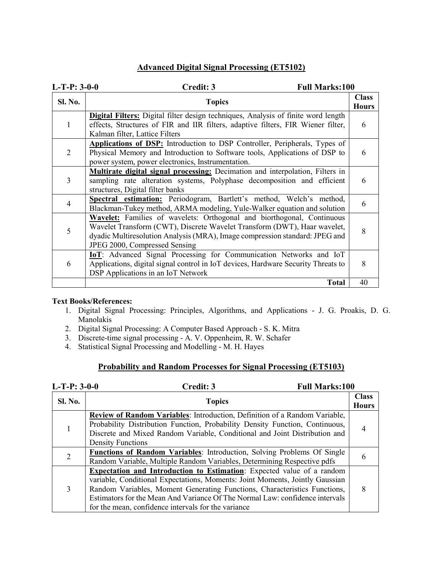#### Advanced Digital Signal Processing (ET5102)

| $L-T-P: 3-0-0$ | Credit: 3<br><b>Full Marks:100</b>                                                                                                                                                                                                                                 |                              |
|----------------|--------------------------------------------------------------------------------------------------------------------------------------------------------------------------------------------------------------------------------------------------------------------|------------------------------|
| <b>Sl. No.</b> | <b>Topics</b>                                                                                                                                                                                                                                                      | <b>Class</b><br><b>Hours</b> |
| 1              | <b>Digital Filters:</b> Digital filter design techniques, Analysis of finite word length<br>effects, Structures of FIR and IIR filters, adaptive filters, FIR Wiener filter,<br>Kalman filter, Lattice Filters                                                     | 6                            |
| 2              | Applications of DSP: Introduction to DSP Controller, Peripherals, Types of<br>Physical Memory and Introduction to Software tools, Applications of DSP to<br>power system, power electronics, Instrumentation.                                                      | 6                            |
| 3              | Multirate digital signal processing: Decimation and interpolation, Filters in<br>sampling rate alteration systems, Polyphase decomposition and efficient<br>structures, Digital filter banks                                                                       | 6                            |
| 4              | Spectral estimation: Periodogram, Bartlett's method, Welch's method,<br>Blackman-Tukey method, ARMA modeling, Yule-Walker equation and solution                                                                                                                    | 6                            |
| 5              | Wavelet: Families of wavelets: Orthogonal and biorthogonal, Continuous<br>Wavelet Transform (CWT), Discrete Wavelet Transform (DWT), Haar wavelet,<br>dyadic Multiresolution Analysis (MRA), Image compression standard: JPEG and<br>JPEG 2000, Compressed Sensing | 8                            |
| 6              | IoT: Advanced Signal Processing for Communication Networks and IoT<br>Applications, digital signal control in IoT devices, Hardware Security Threats to<br>DSP Applications in an IoT Network                                                                      | 8                            |
|                | <b>Total</b>                                                                                                                                                                                                                                                       | 40                           |

#### Text Books/References:

- 1. Digital Signal Processing: Principles, Algorithms, and Applications J. G. Proakis, D. G. Manolakis
- 2. Digital Signal Processing: A Computer Based Approach S. K. Mitra
- 3. Discrete-time signal processing A. V. Oppenheim, R. W. Schafer
- 4. Statistical Signal Processing and Modelling M. H. Hayes

#### Probability and Random Processes for Signal Processing (ET5103)

| $L-T-P: 3-0-0$ | <b>Full Marks:100</b><br>Credit: 3                                                                                                                                                                                                                                                                                                                                                |                              |
|----------------|-----------------------------------------------------------------------------------------------------------------------------------------------------------------------------------------------------------------------------------------------------------------------------------------------------------------------------------------------------------------------------------|------------------------------|
| <b>Sl. No.</b> | <b>Topics</b>                                                                                                                                                                                                                                                                                                                                                                     | <b>Class</b><br><b>Hours</b> |
|                | Review of Random Variables: Introduction, Definition of a Random Variable,<br>Probability Distribution Function, Probability Density Function, Continuous,<br>Discrete and Mixed Random Variable, Conditional and Joint Distribution and<br><b>Density Functions</b>                                                                                                              |                              |
| 2              | <b>Functions of Random Variables:</b> Introduction, Solving Problems Of Single<br>Random Variable, Multiple Random Variables, Determining Respective pdfs                                                                                                                                                                                                                         |                              |
| 3              | <b>Expectation and Introduction to Estimation:</b> Expected value of a random<br>variable, Conditional Expectations, Moments: Joint Moments, Jointly Gaussian<br>Random Variables, Moment Generating Functions, Characteristics Functions,<br>Estimators for the Mean And Variance Of The Normal Law: confidence intervals<br>for the mean, confidence intervals for the variance | 8                            |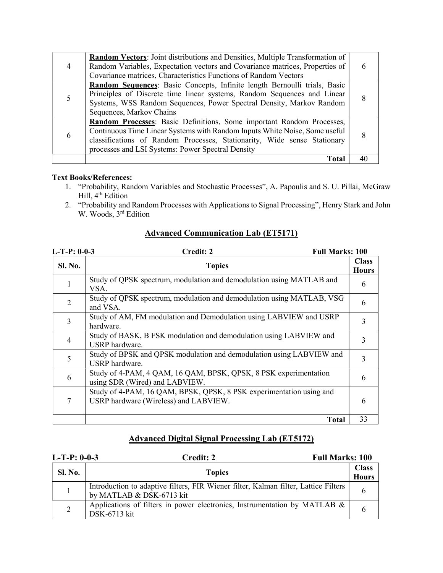|   | <b>Random Vectors:</b> Joint distributions and Densities, Multiple Transformation of<br>Random Variables, Expectation vectors and Covariance matrices, Properties of<br>Covariance matrices, Characteristics Functions of Random Vectors                                             |  |
|---|--------------------------------------------------------------------------------------------------------------------------------------------------------------------------------------------------------------------------------------------------------------------------------------|--|
|   | Random Sequences: Basic Concepts, Infinite length Bernoulli trials, Basic<br>Principles of Discrete time linear systems, Random Sequences and Linear<br>Systems, WSS Random Sequences, Power Spectral Density, Markov Random<br>Sequences, Markov Chains                             |  |
| 6 | Random Processes: Basic Definitions, Some important Random Processes,<br>Continuous Time Linear Systems with Random Inputs White Noise, Some useful<br>classifications of Random Processes, Stationarity, Wide sense Stationary<br>processes and LSI Systems: Power Spectral Density |  |
|   | <b>Total</b>                                                                                                                                                                                                                                                                         |  |

- 1. "Probability, Random Variables and Stochastic Processes", A. Papoulis and S. U. Pillai, McGraw Hill, 4<sup>th</sup> Edition
- 2. "Probability and Random Processes with Applications to Signal Processing", Henry Stark and John W. Woods, 3<sup>rd</sup> Edition

| $L-T-P: 0-0-3$ | <b>Full Marks: 100</b><br>Credit: 2                                                                          |                              |
|----------------|--------------------------------------------------------------------------------------------------------------|------------------------------|
| Sl. No.        | <b>Topics</b>                                                                                                | <b>Class</b><br><b>Hours</b> |
|                | Study of QPSK spectrum, modulation and demodulation using MATLAB and<br>VSA.                                 | 6                            |
| 2              | Study of QPSK spectrum, modulation and demodulation using MATLAB, VSG<br>and VSA.                            | 6                            |
| 3              | Study of AM, FM modulation and Demodulation using LABVIEW and USRP<br>hardware.                              | 3                            |
| 4              | Study of BASK, B FSK modulation and demodulation using LABVIEW and<br>USRP hardware.                         | 3                            |
| 5              | Study of BPSK and QPSK modulation and demodulation using LABVIEW and<br>USRP hardware.                       | 3                            |
| 6              | Study of 4-PAM, 4 QAM, 16 QAM, BPSK, QPSK, 8 PSK experimentation<br>using SDR (Wired) and LABVIEW.           | 6                            |
| 7              | Study of 4-PAM, 16 QAM, BPSK, QPSK, 8 PSK experimentation using and<br>USRP hardware (Wireless) and LABVIEW. | 6                            |
|                | <b>Total</b>                                                                                                 | 33                           |

#### Advanced Communication Lab (ET5171)

### Advanced Digital Signal Processing Lab (ET5172)

| $L-T-P: 0-0-3$ | <b>Full Marks: 100</b><br>Credit: 2                                                                             |                              |
|----------------|-----------------------------------------------------------------------------------------------------------------|------------------------------|
| <b>Sl. No.</b> | <b>Topics</b>                                                                                                   | <b>Class</b><br><b>Hours</b> |
|                | Introduction to adaptive filters, FIR Wiener filter, Kalman filter, Lattice Filters<br>by MATLAB & DSK-6713 kit |                              |
|                | Applications of filters in power electronics, Instrumentation by MATLAB &<br>DSK-6713 kit                       |                              |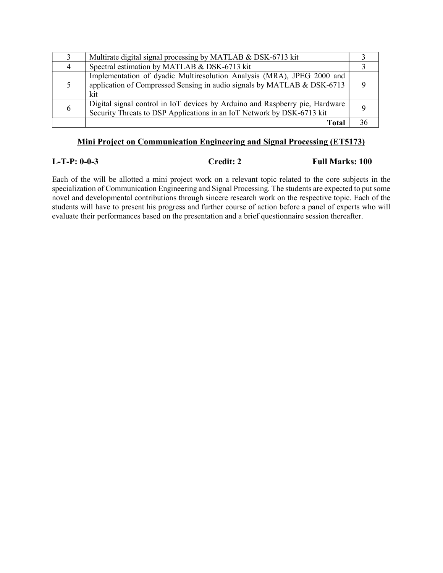| Multirate digital signal processing by MATLAB & DSK-6713 kit                                                                                             |  |
|----------------------------------------------------------------------------------------------------------------------------------------------------------|--|
| Spectral estimation by MATLAB & DSK-6713 kit                                                                                                             |  |
| Implementation of dyadic Multiresolution Analysis (MRA), JPEG 2000 and<br>application of Compressed Sensing in audio signals by MATLAB & DSK-6713<br>kit |  |
| Digital signal control in IoT devices by Arduino and Raspberry pie, Hardware<br>Security Threats to DSP Applications in an IoT Network by DSK-6713 kit   |  |
| Total                                                                                                                                                    |  |

#### Mini Project on Communication Engineering and Signal Processing (ET5173)

L-T-P: 0-0-3 Credit: 2 Full Marks: 100

Each of the will be allotted a mini project work on a relevant topic related to the core subjects in the specialization of Communication Engineering and Signal Processing. The students are expected to put some novel and developmental contributions through sincere research work on the respective topic. Each of the students will have to present his progress and further course of action before a panel of experts who will evaluate their performances based on the presentation and a brief questionnaire session thereafter.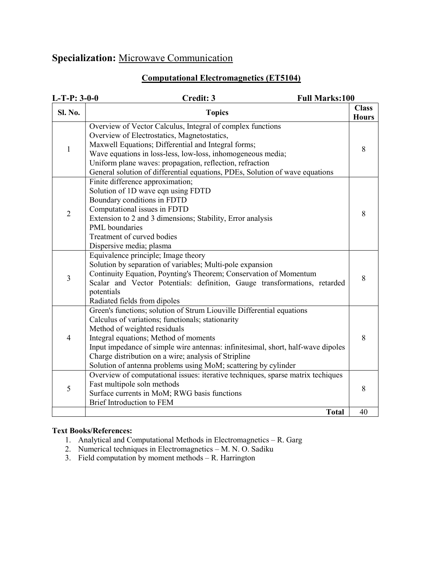## Specialization: Microwave Communication

### Computational Electromagnetics (ET5104)

| $L-T-P: 3-0-0$ | Credit: 3<br><b>Full Marks:100</b>                                                                                                                                                                                                                                                                                                                                                                                |                              |
|----------------|-------------------------------------------------------------------------------------------------------------------------------------------------------------------------------------------------------------------------------------------------------------------------------------------------------------------------------------------------------------------------------------------------------------------|------------------------------|
| <b>Sl. No.</b> | <b>Topics</b>                                                                                                                                                                                                                                                                                                                                                                                                     | <b>Class</b><br><b>Hours</b> |
| $\mathbf{1}$   | Overview of Vector Calculus, Integral of complex functions<br>Overview of Electrostatics, Magnetostatics,<br>Maxwell Equations; Differential and Integral forms;<br>Wave equations in loss-less, low-loss, inhomogeneous media;<br>Uniform plane waves: propagation, reflection, refraction<br>General solution of differential equations, PDEs, Solution of wave equations                                       | 8                            |
| $\overline{2}$ | Finite difference approximation;<br>Solution of 1D wave eqn using FDTD<br>Boundary conditions in FDTD<br>Computational issues in FDTD<br>Extension to 2 and 3 dimensions; Stability, Error analysis<br>PML boundaries<br>Treatment of curved bodies<br>Dispersive media; plasma                                                                                                                                   | 8                            |
| $\overline{3}$ | Equivalence principle; Image theory<br>Solution by separation of variables; Multi-pole expansion<br>Continuity Equation, Poynting's Theorem; Conservation of Momentum<br>Scalar and Vector Potentials: definition, Gauge transformations, retarded<br>potentials<br>Radiated fields from dipoles                                                                                                                  | 8                            |
| $\overline{4}$ | Green's functions; solution of Strum Liouville Differential equations<br>Calculus of variations; functionals; stationarity<br>Method of weighted residuals<br>Integral equations; Method of moments<br>Input impedance of simple wire antennas: infinitesimal, short, half-wave dipoles<br>Charge distribution on a wire; analysis of Stripline<br>Solution of antenna problems using MoM; scattering by cylinder | 8                            |
| 5              | Overview of computational issues: iterative techniques, sparse matrix techiques<br>Fast multipole soln methods<br>Surface currents in MoM; RWG basis functions<br>Brief Introduction to FEM                                                                                                                                                                                                                       | 8                            |
|                | <b>Total</b>                                                                                                                                                                                                                                                                                                                                                                                                      | 40                           |

- 1. Analytical and Computational Methods in Electromagnetics R. Garg
- 2. Numerical techniques in Electromagnetics M. N. O. Sadiku
- 3. Field computation by moment methods R. Harrington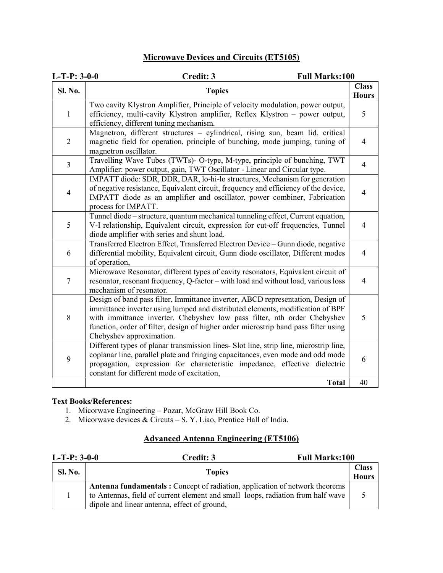### Microwave Devices and Circuits (ET5105)

| $L-T-P: 3-0-0$   | Credit: 3<br><b>Full Marks:100</b>                                                                                                                                                                                                                                                                                                                               |                              |
|------------------|------------------------------------------------------------------------------------------------------------------------------------------------------------------------------------------------------------------------------------------------------------------------------------------------------------------------------------------------------------------|------------------------------|
| <b>Sl. No.</b>   | <b>Topics</b>                                                                                                                                                                                                                                                                                                                                                    | <b>Class</b><br><b>Hours</b> |
| $\mathbf{1}$     | Two cavity Klystron Amplifier, Principle of velocity modulation, power output,<br>efficiency, multi-cavity Klystron amplifier, Reflex Klystron - power output,<br>efficiency, different tuning mechanism.                                                                                                                                                        | 5                            |
| $\overline{2}$   | Magnetron, different structures - cylindrical, rising sun, beam lid, critical<br>magnetic field for operation, principle of bunching, mode jumping, tuning of<br>magnetron oscillator.                                                                                                                                                                           | $\overline{4}$               |
| $\overline{3}$   | Travelling Wave Tubes (TWTs)- O-type, M-type, principle of bunching, TWT<br>Amplifier: power output, gain, TWT Oscillator - Linear and Circular type.                                                                                                                                                                                                            | $\overline{4}$               |
| $\overline{4}$   | IMPATT diode: SDR, DDR, DAR, lo-hi-lo structures, Mechanism for generation<br>of negative resistance, Equivalent circuit, frequency and efficiency of the device,<br>IMPATT diode as an amplifier and oscillator, power combiner, Fabrication<br>process for IMPATT.                                                                                             | $\overline{4}$               |
| 5                | Tunnel diode – structure, quantum mechanical tunneling effect, Current equation,<br>V-I relationship, Equivalent circuit, expression for cut-off frequencies, Tunnel<br>diode amplifier with series and shunt load.                                                                                                                                              | $\overline{4}$               |
| 6                | Transferred Electron Effect, Transferred Electron Device - Gunn diode, negative<br>differential mobility, Equivalent circuit, Gunn diode oscillator, Different modes<br>of operation,                                                                                                                                                                            | $\overline{4}$               |
| $\boldsymbol{7}$ | Microwave Resonator, different types of cavity resonators, Equivalent circuit of<br>resonator, resonant frequency, Q-factor - with load and without load, various loss<br>mechanism of resonator.                                                                                                                                                                | $\overline{4}$               |
| 8                | Design of band pass filter, Immittance inverter, ABCD representation, Design of<br>immittance inverter using lumped and distributed elements, modification of BPF<br>with immittance inverter. Chebyshev low pass filter, nth order Chebyshev<br>function, order of filter, design of higher order microstrip band pass filter using<br>Chebyshev approximation. | 5                            |
| 9                | Different types of planar transmission lines- Slot line, strip line, microstrip line,<br>coplanar line, parallel plate and fringing capacitances, even mode and odd mode<br>propagation, expression for characteristic impedance, effective dielectric<br>constant for different mode of excitation,                                                             | 6                            |
|                  | <b>Total</b>                                                                                                                                                                                                                                                                                                                                                     | 40                           |

#### Text Books/References:

- 1. Micorwave Engineering Pozar, McGraw Hill Book Co.
- 2. Micorwave devices & Circuts S. Y. Liao, Prentice Hall of India.

#### Advanced Antenna Engineering (ET5106)

| $L-T-P: 3-0-0$ | Credit: 3                                                                                                                                                                                                      | <b>Full Marks:100</b>        |  |
|----------------|----------------------------------------------------------------------------------------------------------------------------------------------------------------------------------------------------------------|------------------------------|--|
| Sl. No.        | <b>Topics</b>                                                                                                                                                                                                  | <b>Class</b><br><b>Hours</b> |  |
|                | Antenna fundamentals: Concept of radiation, application of network theorems<br>to Antennas, field of current element and small loops, radiation from half wave<br>dipole and linear antenna, effect of ground, |                              |  |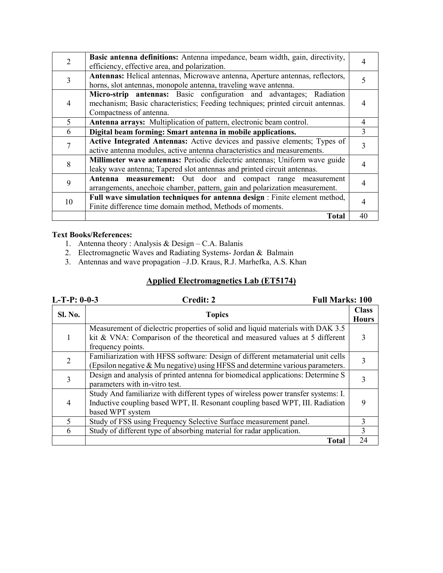|               | Basic antenna definitions: Antenna impedance, beam width, gain, directivity,<br>efficiency, effective area, and polarization.                                                     |    |
|---------------|-----------------------------------------------------------------------------------------------------------------------------------------------------------------------------------|----|
|               | Antennas: Helical antennas, Microwave antenna, Aperture antennas, reflectors,<br>horns, slot antennas, monopole antenna, traveling wave antenna.                                  |    |
|               | Micro-strip antennas: Basic configuration and advantages; Radiation<br>mechanism; Basic characteristics; Feeding techniques; printed circuit antennas.<br>Compactness of antenna. |    |
| $\mathcal{F}$ | Antenna arrays: Multiplication of pattern, electronic beam control.                                                                                                               | 4  |
| 6             | Digital beam forming: Smart antenna in mobile applications.                                                                                                                       | 3  |
|               | Active Integrated Antennas: Active devices and passive elements; Types of<br>active antenna modules, active antenna characteristics and measurements.                             |    |
|               | Millimeter wave antennas: Periodic dielectric antennas; Uniform wave guide<br>leaky wave antenna; Tapered slot antennas and printed circuit antennas.                             |    |
| 9             | Antenna measurement: Out door and compact range measurement<br>arrangements, anechoic chamber, pattern, gain and polarization measurement.                                        |    |
| 10            | Full wave simulation techniques for antenna design : Finite element method,<br>Finite difference time domain method, Methods of moments.                                          |    |
|               | <b>Total</b>                                                                                                                                                                      | 40 |

- 1. Antenna theory : Analysis & Design C.A. Balanis
- 2. Electromagnetic Waves and Radiating Systems- Jordan & Balmain
- 3. Antennas and wave propagation –J.D. Kraus, R.J. Marhefka, A.S. Khan

#### Applied Electromagnetics Lab (ET5174)

| $L-T-P: 0-0-3$ | <b>Full Marks: 100</b><br>Credit: 2                                                                                                                                                    |                              |
|----------------|----------------------------------------------------------------------------------------------------------------------------------------------------------------------------------------|------------------------------|
| <b>Sl. No.</b> | <b>Topics</b>                                                                                                                                                                          | <b>Class</b><br><b>Hours</b> |
|                | Measurement of dielectric properties of solid and liquid materials with DAK 3.5<br>kit & VNA: Comparison of the theoretical and measured values at 5 different<br>frequency points.    |                              |
|                | Familiarization with HFSS software: Design of different metamaterial unit cells<br>(Epsilon negative & Mu negative) using HFSS and determine various parameters.                       |                              |
| 3              | Design and analysis of printed antenna for biomedical applications: Determine S<br>parameters with in-vitro test.                                                                      |                              |
| 4              | Study And familiarize with different types of wireless power transfer systems: I.<br>Inductive coupling based WPT, II. Resonant coupling based WPT, III. Radiation<br>based WPT system |                              |
| $\mathcal{F}$  | Study of FSS using Frequency Selective Surface measurement panel.                                                                                                                      | 3                            |
| 6              | Study of different type of absorbing material for radar application.                                                                                                                   | 3                            |
|                | <b>Total</b>                                                                                                                                                                           | 24                           |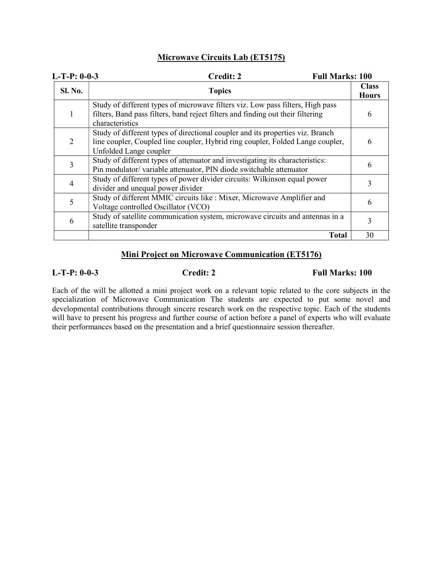#### Microwave Circuits Lab (ET5175)

| $L-T-P: 0-0-3$ | <b>Credit: 2</b><br><b>Full Marks: 100</b>                                                                                                                                                 |                              |
|----------------|--------------------------------------------------------------------------------------------------------------------------------------------------------------------------------------------|------------------------------|
| <b>Sl. No.</b> | <b>Topics</b>                                                                                                                                                                              | <b>Class</b><br><b>Hours</b> |
| 1              | Study of different types of microwave filters viz. Low pass filters, High pass<br>filters, Band pass filters, band reject filters and finding out their filtering<br>characteristics       | h                            |
| 2              | Study of different types of directional coupler and its properties viz. Branch<br>line coupler, Coupled line coupler, Hybrid ring coupler, Folded Lange coupler,<br>Unfolded Lange coupler | 6                            |
| 3              | Study of different types of attenuator and investigating its characteristics:<br>Pin modulator/variable attenuator, PIN diode switchable attenuator                                        | 6                            |
| 4              | Study of different types of power divider circuits: Wilkinson equal power<br>divider and unequal power divider                                                                             |                              |
| 5              | Study of different MMIC circuits like : Mixer, Microwave Amplifier and<br>Voltage controlled Oscillator (VCO)                                                                              | 6                            |
| 6              | Study of satellite communication system, microwave circuits and antennas in a<br>satellite transponder                                                                                     |                              |
|                | <b>Total</b>                                                                                                                                                                               | 30                           |

#### Mini Project on Microwave Communication (ET5176)

#### L-T-P: 0-0-3 Credit: 2 Full Marks: 100

Each of the will be allotted a mini project work on a relevant topic related to the core subjects in the specialization of Microwave Communication The students are expected to put some novel and developmental contributions through sincere research work on the respective topic. Each of the students will have to present his progress and further course of action before a panel of experts who will evaluate their performances based on the presentation and a brief questionnaire session thereafter.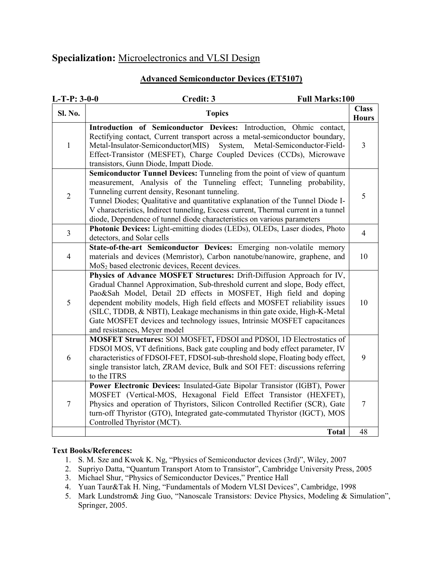## Specialization: Microelectronics and VLSI Design

#### Advanced Semiconductor Devices (ET5107)

| $L-T-P: 3-0-0$ | Credit: 3<br><b>Full Marks:100</b>                                                                                                                                                                                                                                                                                                                                                                                                                                                                  |                              |
|----------------|-----------------------------------------------------------------------------------------------------------------------------------------------------------------------------------------------------------------------------------------------------------------------------------------------------------------------------------------------------------------------------------------------------------------------------------------------------------------------------------------------------|------------------------------|
| Sl. No.        | <b>Topics</b>                                                                                                                                                                                                                                                                                                                                                                                                                                                                                       | <b>Class</b><br><b>Hours</b> |
| $\mathbf{1}$   | Introduction of Semiconductor Devices: Introduction, Ohmic contact,<br>Rectifying contact, Current transport across a metal-semiconductor boundary,<br>Metal-Insulator-Semiconductor(MIS)<br>System,<br>Metal-Semiconductor-Field-<br>Effect-Transistor (MESFET), Charge Coupled Devices (CCDs), Microwave<br>transistors, Gunn Diode, Impatt Diode.                                                                                                                                                | 3                            |
| $\overline{2}$ | Semiconductor Tunnel Devices: Tunneling from the point of view of quantum<br>measurement, Analysis of the Tunneling effect; Tunneling probability,<br>Tunneling current density, Resonant tunneling.<br>Tunnel Diodes; Qualitative and quantitative explanation of the Tunnel Diode I-<br>V characteristics, Indirect tunneling, Excess current, Thermal current in a tunnel<br>diode, Dependence of tunnel diode characteristics on various parameters                                             | 5                            |
| $\overline{3}$ | Photonic Devices: Light-emitting diodes (LEDs), OLEDs, Laser diodes, Photo<br>detectors, and Solar cells                                                                                                                                                                                                                                                                                                                                                                                            | $\overline{4}$               |
| $\overline{4}$ | State-of-the-art Semiconductor Devices: Emerging non-volatile memory<br>materials and devices (Memristor), Carbon nanotube/nanowire, graphene, and<br>MoS <sub>2</sub> based electronic devices, Recent devices.                                                                                                                                                                                                                                                                                    | 10                           |
| 5              | Physics of Advance MOSFET Structures: Drift-Diffusion Approach for IV,<br>Gradual Channel Approximation, Sub-threshold current and slope, Body effect,<br>Pao&Sah Model, Detail 2D effects in MOSFET, High field and doping<br>dependent mobility models, High field effects and MOSFET reliability issues<br>(SILC, TDDB, & NBTI), Leakage mechanisms in thin gate oxide, High-K-Metal<br>Gate MOSFET devices and technology issues, Intrinsic MOSFET capacitances<br>and resistances, Meyer model | 10                           |
| 6              | MOSFET Structures: SOI MOSFET, FDSOI and PDSOI, 1D Electrostatics of<br>FDSOI MOS, VT definitions, Back gate coupling and body effect parameter, IV<br>characteristics of FDSOI-FET, FDSOI-sub-threshold slope, Floating body effect,<br>single transistor latch, ZRAM device, Bulk and SOI FET: discussions referring<br>to the ITRS                                                                                                                                                               | 9                            |
| $\tau$         | Power Electronic Devices: Insulated-Gate Bipolar Transistor (IGBT), Power<br>MOSFET (Vertical-MOS, Hexagonal Field Effect Transistor (HEXFET),<br>Physics and operation of Thyristors, Silicon Controlled Rectifier (SCR), Gate<br>turn-off Thyristor (GTO), Integrated gate-commutated Thyristor (IGCT), MOS<br>Controlled Thyristor (MCT).                                                                                                                                                        | $\tau$                       |
|                | <b>Total</b>                                                                                                                                                                                                                                                                                                                                                                                                                                                                                        | 48                           |

- 1. S. M. Sze and Kwok K. Ng, "Physics of Semiconductor devices (3rd)", Wiley, 2007
- 2. Supriyo Datta, "Quantum Transport Atom to Transistor", Cambridge University Press, 2005
- 3. Michael Shur, "Physics of Semiconductor Devices," Prentice Hall
- 4. Yuan Taur&Tak H. Ning, "Fundamentals of Modern VLSI Devices", Cambridge, 1998
- 5. Mark Lundstrom& Jing Guo, "Nanoscale Transistors: Device Physics, Modeling & Simulation", Springer, 2005.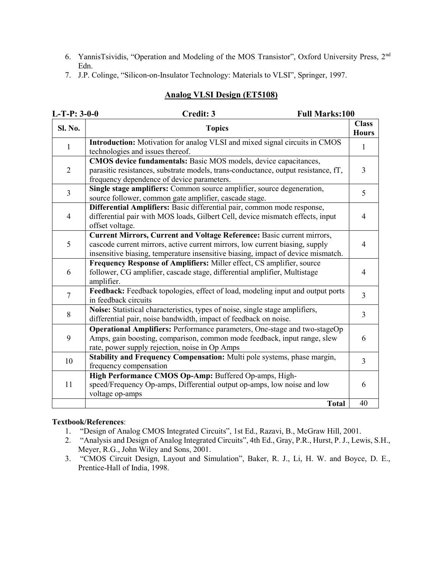- 6. YannisTsividis, "Operation and Modeling of the MOS Transistor", Oxford University Press, 2nd Edn.
- 7. J.P. Colinge, "Silicon-on-Insulator Technology: Materials to VLSI", Springer, 1997.

#### Analog VLSI Design (ET5108)

| $L-T-P: 3-0-0$ | Credit: 3<br><b>Full Marks:100</b>                                                                                                                                                                                                         |                              |
|----------------|--------------------------------------------------------------------------------------------------------------------------------------------------------------------------------------------------------------------------------------------|------------------------------|
| <b>Sl. No.</b> | <b>Topics</b>                                                                                                                                                                                                                              | <b>Class</b><br><b>Hours</b> |
| 1              | Introduction: Motivation for analog VLSI and mixed signal circuits in CMOS<br>technologies and issues thereof.                                                                                                                             | 1                            |
| $\overline{2}$ | CMOS device fundamentals: Basic MOS models, device capacitances,<br>parasitic resistances, substrate models, trans-conductance, output resistance, fT,<br>frequency dependence of device parameters.                                       | 3                            |
| $\overline{3}$ | Single stage amplifiers: Common source amplifier, source degeneration,<br>source follower, common gate amplifier, cascade stage.                                                                                                           | 5                            |
| $\overline{4}$ | Differential Amplifiers: Basic differential pair, common mode response,<br>differential pair with MOS loads, Gilbert Cell, device mismatch effects, input<br>offset voltage.                                                               | $\overline{4}$               |
| 5              | Current Mirrors, Current and Voltage Reference: Basic current mirrors,<br>cascode current mirrors, active current mirrors, low current biasing, supply<br>insensitive biasing, temperature insensitive biasing, impact of device mismatch. | 4                            |
| 6              | Frequency Response of Amplifiers: Miller effect, CS amplifier, source<br>follower, CG amplifier, cascade stage, differential amplifier, Multistage<br>amplifier.                                                                           | $\overline{\mathcal{L}}$     |
| $\overline{7}$ | Feedback: Feedback topologies, effect of load, modeling input and output ports<br>in feedback circuits                                                                                                                                     | $\overline{3}$               |
| 8              | Noise: Statistical characteristics, types of noise, single stage amplifiers,<br>differential pair, noise bandwidth, impact of feedback on noise.                                                                                           | $\overline{3}$               |
| 9              | Operational Amplifiers: Performance parameters, One-stage and two-stageOp<br>Amps, gain boosting, comparison, common mode feedback, input range, slew<br>rate, power supply rejection, noise in Op Amps                                    | 6                            |
| 10             | Stability and Frequency Compensation: Multi pole systems, phase margin,<br>frequency compensation                                                                                                                                          | $\overline{3}$               |
| 11             | High Performance CMOS Op-Amp: Buffered Op-amps, High-<br>speed/Frequency Op-amps, Differential output op-amps, low noise and low<br>voltage op-amps                                                                                        | 6                            |
|                | <b>Total</b>                                                                                                                                                                                                                               | 40                           |

- 1. "Design of Analog CMOS Integrated Circuits", 1st Ed., Razavi, B., McGraw Hill, 2001.
- 2. "Analysis and Design of Analog Integrated Circuits", 4th Ed., Gray, P.R., Hurst, P. J., Lewis, S.H., Meyer, R.G., John Wiley and Sons, 2001.
- 3. "CMOS Circuit Design, Layout and Simulation", Baker, R. J., Li, H. W. and Boyce, D. E., Prentice-Hall of India, 1998.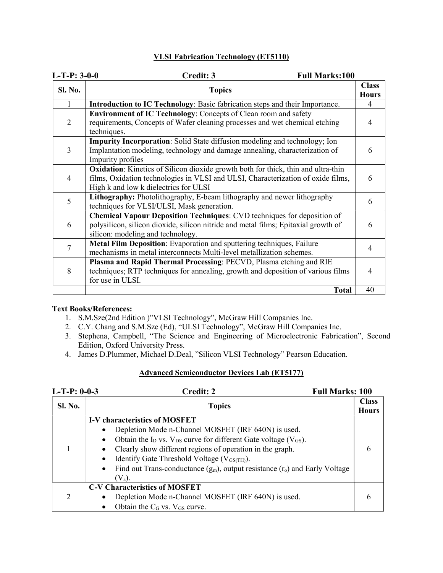#### VLSI Fabrication Technology (ET5110)

| $L-T-P: 3-0-0$ | Credit: 3<br><b>Full Marks:100</b>                                                                                                                                                                                    |                              |
|----------------|-----------------------------------------------------------------------------------------------------------------------------------------------------------------------------------------------------------------------|------------------------------|
| Sl. No.        | <b>Topics</b>                                                                                                                                                                                                         | <b>Class</b><br><b>Hours</b> |
| 1              | Introduction to IC Technology: Basic fabrication steps and their Importance.                                                                                                                                          | 4                            |
| 2              | Environment of IC Technology: Concepts of Clean room and safety<br>requirements, Concepts of Wafer cleaning processes and wet chemical etching<br>techniques.                                                         | 4                            |
| 3              | <b>Impurity Incorporation:</b> Solid State diffusion modeling and technology; Ion<br>Implantation modeling, technology and damage annealing, characterization of<br>Impurity profiles                                 | 6                            |
| 4              | <b>Oxidation:</b> Kinetics of Silicon dioxide growth both for thick, thin and ultra-thin<br>films, Oxidation technologies in VLSI and ULSI, Characterization of oxide films,<br>High k and low k dielectrics for ULSI | 6                            |
| 5              | Lithography: Photolithography, E-beam lithography and newer lithography<br>techniques for VLSI/ULSI, Mask generation.                                                                                                 | 6                            |
| 6              | <b>Chemical Vapour Deposition Techniques: CVD techniques for deposition of</b><br>polysilicon, silicon dioxide, silicon nitride and metal films; Epitaxial growth of<br>silicon: modeling and technology.             | 6                            |
| 7              | Metal Film Deposition: Evaporation and sputtering techniques, Failure<br>mechanisms in metal interconnects Multi-level metallization schemes.                                                                         | 4                            |
| 8              | Plasma and Rapid Thermal Processing: PECVD, Plasma etching and RIE<br>techniques; RTP techniques for annealing, growth and deposition of various films<br>for use in ULSI.                                            | 4                            |
|                | <b>Total</b>                                                                                                                                                                                                          | 40                           |

#### Text Books/References:

- 1. S.M.Sze(2nd Edition )"VLSI Technology", McGraw Hill Companies Inc.
- 2. C.Y. Chang and S.M.Sze (Ed), "ULSI Technology", McGraw Hill Companies Inc.
- 3. Stephena, Campbell, "The Science and Engineering of Microelectronic Fabrication", Second Edition, Oxford University Press.
- 4. James D.Plummer, Michael D.Deal, "Silicon VLSI Technology" Pearson Education.

#### Advanced Semiconductor Devices Lab (ET5177)

| $L-T-P: 0-0-3$ | Credit: 2<br><b>Full Marks: 100</b>                                                                                                                                                                                                                                                                                                                                                                                                                |                              |
|----------------|----------------------------------------------------------------------------------------------------------------------------------------------------------------------------------------------------------------------------------------------------------------------------------------------------------------------------------------------------------------------------------------------------------------------------------------------------|------------------------------|
| <b>Sl. No.</b> | <b>Topics</b>                                                                                                                                                                                                                                                                                                                                                                                                                                      | <b>Class</b><br><b>Hours</b> |
|                | <b>I-V characteristics of MOSFET</b><br>Depletion Mode n-Channel MOSFET (IRF 640N) is used.<br>$\bullet$<br>Obtain the $I_D$ vs. $V_{DS}$ curve for different Gate voltage ( $V_{GS}$ ).<br>$\bullet$<br>Clearly show different regions of operation in the graph.<br>Identify Gate Threshold Voltage ( $V_{GS(TH)}$ ).<br>$\bullet$<br>Find out Trans-conductance $(g_m)$ , output resistance $(r_o)$ and Early Voltage<br>$\bullet$<br>$(V_a)$ . |                              |
|                | <b>C-V Characteristics of MOSFET</b><br>Depletion Mode n-Channel MOSFET (IRF 640N) is used.<br>$\bullet$<br>Obtain the $C_G$ vs. $V_{GS}$ curve.                                                                                                                                                                                                                                                                                                   |                              |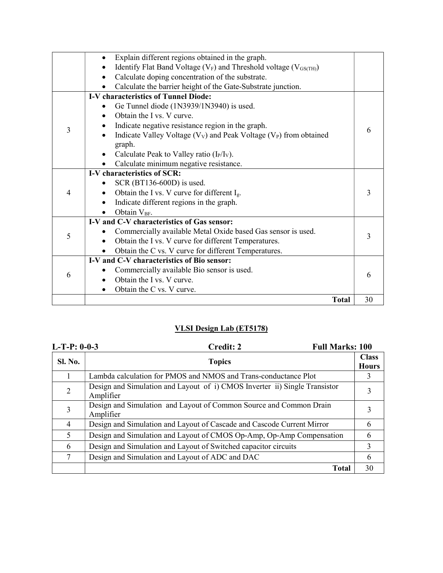|   | Explain different regions obtained in the graph.                                          |    |
|---|-------------------------------------------------------------------------------------------|----|
|   | Identify Flat Band Voltage (V <sub>F</sub> ) and Threshold voltage (V <sub>GS(TH)</sub> ) |    |
|   | Calculate doping concentration of the substrate.<br>$\bullet$                             |    |
|   | Calculate the barrier height of the Gate-Substrate junction.                              |    |
|   | <b>I-V</b> characteristics of Tunnel Diode:                                               |    |
|   | Ge Tunnel diode (1N3939/1N3940) is used.                                                  |    |
|   | Obtain the I vs. V curve.                                                                 |    |
| 3 | Indicate negative resistance region in the graph.                                         | 6  |
|   | Indicate Valley Voltage $(V_V)$ and Peak Voltage $(V_P)$ from obtained                    |    |
|   | graph.                                                                                    |    |
|   | Calculate Peak to Valley ratio $(I_P/I_V)$ .                                              |    |
|   | Calculate minimum negative resistance.                                                    |    |
|   | I-V characteristics of SCR:                                                               |    |
|   | SCR $(BT136-600D)$ is used.                                                               |    |
| 4 | Obtain the I vs. V curve for different $I_g$ .                                            | 3  |
|   | Indicate different regions in the graph.                                                  |    |
|   | Obtain V <sub>BF</sub> .                                                                  |    |
|   | I-V and C-V characteristics of Gas sensor:                                                |    |
| 5 | Commercially available Metal Oxide based Gas sensor is used.                              | 3  |
|   | Obtain the I vs. V curve for different Temperatures.<br>$\bullet$                         |    |
|   | Obtain the C vs. V curve for different Temperatures.                                      |    |
|   | I-V and C-V characteristics of Bio sensor:                                                |    |
| 6 | Commercially available Bio sensor is used.                                                | 6  |
|   | Obtain the I vs. V curve.                                                                 |    |
|   | Obtain the C vs. V curve.                                                                 |    |
|   | <b>Total</b>                                                                              | 30 |

### VLSI Design Lab (ET5178)

| $L-T-P: 0-0-3$ | Credit: 2<br><b>Full Marks: 100</b>                                                     |                              |
|----------------|-----------------------------------------------------------------------------------------|------------------------------|
| <b>Sl. No.</b> | <b>Topics</b>                                                                           | <b>Class</b><br><b>Hours</b> |
|                | Lambda calculation for PMOS and NMOS and Trans-conductance Plot                         | 3                            |
| 2              | Design and Simulation and Layout of i) CMOS Inverter ii) Single Transistor<br>Amplifier | 3                            |
| 3              | Design and Simulation and Layout of Common Source and Common Drain<br>Amplifier         | 3                            |
| 4              | Design and Simulation and Layout of Cascade and Cascode Current Mirror                  | 6                            |
| 5              | Design and Simulation and Layout of CMOS Op-Amp, Op-Amp Compensation                    | 6                            |
| 6              | Design and Simulation and Layout of Switched capacitor circuits                         | 3                            |
| 7              | Design and Simulation and Layout of ADC and DAC                                         | 6                            |
|                | <b>Total</b>                                                                            | 30                           |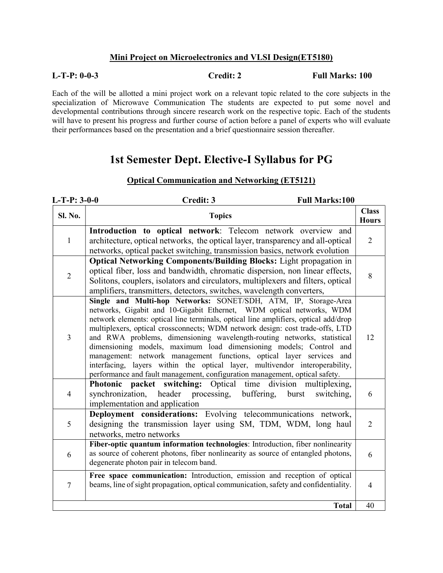#### Mini Project on Microelectronics and VLSI Design(ET5180)

L-T-P: 0-0-3 Credit: 2 Full Marks: 100

Each of the will be allotted a mini project work on a relevant topic related to the core subjects in the specialization of Microwave Communication The students are expected to put some novel and developmental contributions through sincere research work on the respective topic. Each of the students will have to present his progress and further course of action before a panel of experts who will evaluate their performances based on the presentation and a brief questionnaire session thereafter.

## 1st Semester Dept. Elective-I Syllabus for PG

| $L-T-P: 3-0-0$ | <b>Full Marks:100</b><br>Credit: 3                                                                                                                                                                                                                                                                                                                                                                                                                                                                                                                                                                                                                                                                     |                              |
|----------------|--------------------------------------------------------------------------------------------------------------------------------------------------------------------------------------------------------------------------------------------------------------------------------------------------------------------------------------------------------------------------------------------------------------------------------------------------------------------------------------------------------------------------------------------------------------------------------------------------------------------------------------------------------------------------------------------------------|------------------------------|
| Sl. No.        | <b>Topics</b>                                                                                                                                                                                                                                                                                                                                                                                                                                                                                                                                                                                                                                                                                          | <b>Class</b><br><b>Hours</b> |
| $\mathbf{1}$   | Introduction to optical network: Telecom network overview and<br>architecture, optical networks, the optical layer, transparency and all-optical<br>networks, optical packet switching, transmission basics, network evolution                                                                                                                                                                                                                                                                                                                                                                                                                                                                         | $\overline{2}$               |
| $\overline{2}$ | <b>Optical Networking Components/Building Blocks:</b> Light propagation in<br>optical fiber, loss and bandwidth, chromatic dispersion, non linear effects,<br>Solitons, couplers, isolators and circulators, multiplexers and filters, optical<br>amplifiers, transmitters, detectors, switches, wavelength converters,                                                                                                                                                                                                                                                                                                                                                                                | 8                            |
| 3              | Single and Multi-hop Networks: SONET/SDH, ATM, IP, Storage-Area<br>networks, Gigabit and 10-Gigabit Ethernet, WDM optical networks, WDM<br>network elements: optical line terminals, optical line amplifiers, optical add/drop<br>multiplexers, optical crossconnects; WDM network design: cost trade-offs, LTD<br>and RWA problems, dimensioning wavelength-routing networks, statistical<br>dimensioning models, maximum load dimensioning models; Control and<br>management: network management functions, optical layer services and<br>interfacing, layers within the optical layer, multivendor interoperability,<br>performance and fault management, configuration management, optical safety. | 12                           |
| $\overline{4}$ | Photonic packet switching: Optical time<br>division multiplexing,<br>synchronization,<br>header processing,<br>buffering,<br>burst<br>switching,<br>implementation and application                                                                                                                                                                                                                                                                                                                                                                                                                                                                                                                     | 6                            |
| 5              | Deployment considerations: Evolving telecommunications network,<br>designing the transmission layer using SM, TDM, WDM, long haul<br>networks, metro networks                                                                                                                                                                                                                                                                                                                                                                                                                                                                                                                                          | $\overline{2}$               |
| 6              | Fiber-optic quantum information technologies: Introduction, fiber nonlinearity<br>as source of coherent photons, fiber nonlinearity as source of entangled photons,<br>degenerate photon pair in telecom band.                                                                                                                                                                                                                                                                                                                                                                                                                                                                                         | 6                            |
| $\overline{7}$ | Free space communication: Introduction, emission and reception of optical<br>beams, line of sight propagation, optical communication, safety and confidentiality.                                                                                                                                                                                                                                                                                                                                                                                                                                                                                                                                      | $\overline{4}$               |
|                | <b>Total</b>                                                                                                                                                                                                                                                                                                                                                                                                                                                                                                                                                                                                                                                                                           | 40                           |

#### Optical Communication and Networking (ET5121)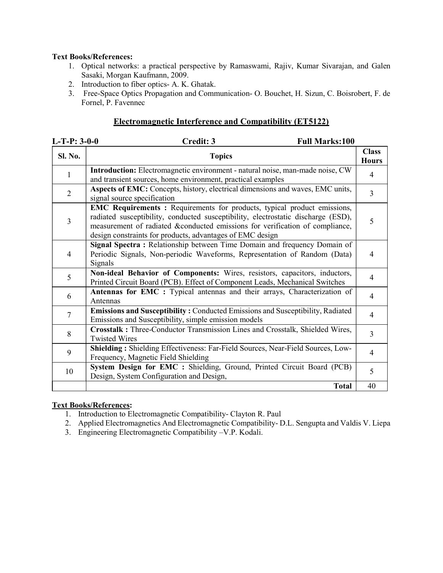- 1. Optical networks: a practical perspective by Ramaswami, Rajiv, Kumar Sivarajan, and Galen Sasaki, Morgan Kaufmann, 2009.
- 2. Introduction to fiber optics- A. K. Ghatak.
- 3. Free-Space Optics Propagation and Communication- O. Bouchet, H. Sizun, C. Boisrobert, F. de Fornel, P. Favennec

#### Electromagnetic Interference and Compatibility (ET5122)

| $L-T-P: 3-0-0$ | Credit: 3<br><b>Full Marks:100</b>                                                                                                                                                                                                                                                                        |                              |
|----------------|-----------------------------------------------------------------------------------------------------------------------------------------------------------------------------------------------------------------------------------------------------------------------------------------------------------|------------------------------|
| Sl. No.        | <b>Topics</b>                                                                                                                                                                                                                                                                                             | <b>Class</b><br><b>Hours</b> |
| 1              | Introduction: Electromagnetic environment - natural noise, man-made noise, CW<br>and transient sources, home environment, practical examples                                                                                                                                                              | $\overline{4}$               |
| $\overline{2}$ | Aspects of EMC: Concepts, history, electrical dimensions and waves, EMC units,<br>signal source specification                                                                                                                                                                                             | $\overline{3}$               |
| 3              | EMC Requirements: Requirements for products, typical product emissions,<br>radiated susceptibility, conducted susceptibility, electrostatic discharge (ESD),<br>measurement of radiated &conducted emissions for verification of compliance,<br>design constraints for products, advantages of EMC design | 5                            |
| 4              | Signal Spectra: Relationship between Time Domain and frequency Domain of<br>Periodic Signals, Non-periodic Waveforms, Representation of Random (Data)<br>Signals                                                                                                                                          | 4                            |
| 5              | Non-ideal Behavior of Components: Wires, resistors, capacitors, inductors,<br>Printed Circuit Board (PCB). Effect of Component Leads, Mechanical Switches                                                                                                                                                 | $\overline{4}$               |
| 6              | Antennas for EMC : Typical antennas and their arrays, Characterization of<br>Antennas                                                                                                                                                                                                                     | $\overline{4}$               |
| $\overline{7}$ | Emissions and Susceptibility: Conducted Emissions and Susceptibility, Radiated<br>Emissions and Susceptibility, simple emission models                                                                                                                                                                    | $\overline{4}$               |
| 8              | Crosstalk: Three-Conductor Transmission Lines and Crosstalk, Shielded Wires,<br><b>Twisted Wires</b>                                                                                                                                                                                                      | $\overline{3}$               |
| 9              | Shielding: Shielding Effectiveness: Far-Field Sources, Near-Field Sources, Low-<br>Frequency, Magnetic Field Shielding                                                                                                                                                                                    | 4                            |
| 10             | System Design for EMC : Shielding, Ground, Printed Circuit Board (PCB)<br>Design, System Configuration and Design,                                                                                                                                                                                        | 5                            |
|                | <b>Total</b>                                                                                                                                                                                                                                                                                              | 40                           |

- 1. Introduction to Electromagnetic Compatibility- Clayton R. Paul
- 2. Applied Electromagnetics And Electromagnetic Compatibility- D.L. Sengupta and Valdis V. Liepa
- 3. Engineering Electromagnetic Compatibility –V.P. Kodali.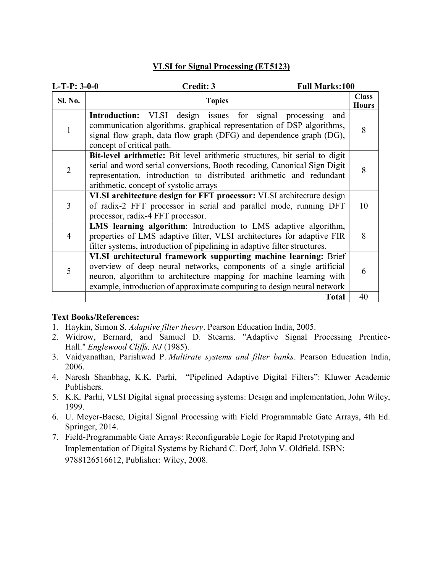#### VLSI for Signal Processing (ET5123)

| $L-T-P: 3-0-0$ | Credit: 3<br><b>Full Marks:100</b>                                                                                                                                                                                                                                                       |                              |
|----------------|------------------------------------------------------------------------------------------------------------------------------------------------------------------------------------------------------------------------------------------------------------------------------------------|------------------------------|
| <b>Sl. No.</b> | <b>Topics</b>                                                                                                                                                                                                                                                                            | <b>Class</b><br><b>Hours</b> |
|                | VLSI design issues for signal<br><b>Introduction:</b><br>processing<br>and<br>communication algorithms. graphical representation of DSP algorithms,<br>signal flow graph, data flow graph (DFG) and dependence graph (DG),<br>concept of critical path.                                  | 8                            |
| 2              | Bit-level arithmetic: Bit level arithmetic structures, bit serial to digit<br>serial and word serial conversions, Booth recoding, Canonical Sign Digit<br>representation, introduction to distributed arithmetic and redundant<br>arithmetic, concept of systolic arrays                 | 8                            |
| 3              | VLSI architecture design for FFT processor: VLSI architecture design<br>of radix-2 FFT processor in serial and parallel mode, running DFT<br>processor, radix-4 FFT processor.                                                                                                           | 10                           |
| $\overline{4}$ | LMS learning algorithm: Introduction to LMS adaptive algorithm,<br>properties of LMS adaptive filter, VLSI architectures for adaptive FIR<br>filter systems, introduction of pipelining in adaptive filter structures.                                                                   | 8                            |
| 5              | VLSI architectural framework supporting machine learning: Brief<br>overview of deep neural networks, components of a single artificial<br>neuron, algorithm to architecture mapping for machine learning with<br>example, introduction of approximate computing to design neural network | 6                            |
|                | <b>Total</b>                                                                                                                                                                                                                                                                             | 40                           |

- 1. Haykin, Simon S. Adaptive filter theory. Pearson Education India, 2005.
- 2. Widrow, Bernard, and Samuel D. Stearns. "Adaptive Signal Processing Prentice-Hall." Englewood Cliffs, NJ (1985).
- 3. Vaidyanathan, Parishwad P. Multirate systems and filter banks. Pearson Education India, 2006.
- 4. Naresh Shanbhag, K.K. Parhi, "Pipelined Adaptive Digital Filters": Kluwer Academic Publishers.
- 5. K.K. Parhi, VLSI Digital signal processing systems: Design and implementation, John Wiley, 1999.
- 6. U. Meyer-Baese, Digital Signal Processing with Field Programmable Gate Arrays, 4th Ed. Springer, 2014.
- 7. Field-Programmable Gate Arrays: Reconfigurable Logic for Rapid Prototyping and Implementation of Digital Systems by Richard C. Dorf, John V. Oldfield. ISBN: 9788126516612, Publisher: Wiley, 2008.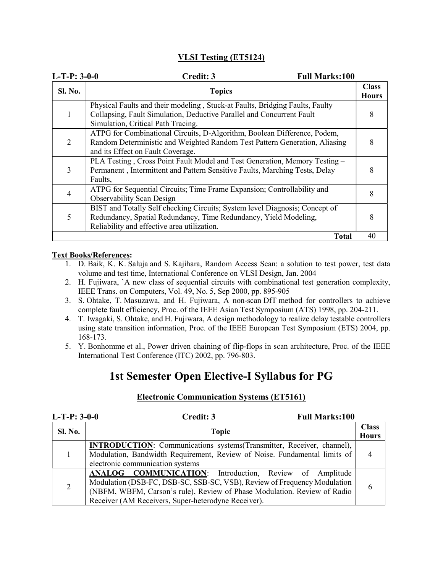#### VLSI Testing (ET5124)

| $L-T-P: 3-0-0$ | Credit: 3<br><b>Full Marks:100</b>                                                                                                                                                             |                              |
|----------------|------------------------------------------------------------------------------------------------------------------------------------------------------------------------------------------------|------------------------------|
| <b>Sl. No.</b> | <b>Topics</b>                                                                                                                                                                                  | <b>Class</b><br><b>Hours</b> |
|                | Physical Faults and their modeling, Stuck-at Faults, Bridging Faults, Faulty<br>Collapsing, Fault Simulation, Deductive Parallel and Concurrent Fault<br>Simulation, Critical Path Tracing.    | 8                            |
| 2              | ATPG for Combinational Circuits, D-Algorithm, Boolean Difference, Podem,<br>Random Deterministic and Weighted Random Test Pattern Generation, Aliasing<br>and its Effect on Fault Coverage.    |                              |
| 3              | PLA Testing, Cross Point Fault Model and Test Generation, Memory Testing -<br>Permanent, Intermittent and Pattern Sensitive Faults, Marching Tests, Delay<br>Faults,                           |                              |
| 4              | ATPG for Sequential Circuits; Time Frame Expansion; Controllability and<br><b>Observability Scan Design</b>                                                                                    | 8                            |
| 5              | BIST and Totally Self checking Circuits; System level Diagnosis; Concept of<br>Redundancy, Spatial Redundancy, Time Redundancy, Yield Modeling,<br>Reliability and effective area utilization. |                              |
|                | <b>Total</b>                                                                                                                                                                                   | 40                           |

#### Text Books/References:

- 1. D. Baik, K. K. Saluja and S. Kajihara, Random Access Scan: a solution to test power, test data volume and test time, International Conference on VLSI Design, Jan. 2004
- 2. H. Fujiwara, `A new class of sequential circuits with combinational test generation complexity, IEEE Trans. on Computers, Vol. 49, No. 5, Sep 2000, pp. 895-905
- 3. S. Ohtake, T. Masuzawa, and H. Fujiwara, A non-scan DfT method for controllers to achieve complete fault efficiency, Proc. of the IEEE Asian Test Symposium (ATS) 1998, pp. 204-211.
- 4. T. Iwagaki, S. Ohtake, and H. Fujiwara, A design methodology to realize delay testable controllers using state transition information, Proc. of the IEEE European Test Symposium (ETS) 2004, pp. 168-173.
- 5. Y. Bonhomme et al., Power driven chaining of flip-flops in scan architecture, Proc. of the IEEE International Test Conference (ITC) 2002, pp. 796-803.

## 1st Semester Open Elective-I Syllabus for PG

| $L-T-P: 3-0-0$ | Credit: 3<br><b>Full Marks:100</b>                                                                                                                                                                                                                                     |                              |
|----------------|------------------------------------------------------------------------------------------------------------------------------------------------------------------------------------------------------------------------------------------------------------------------|------------------------------|
| <b>Sl. No.</b> | <b>Topic</b>                                                                                                                                                                                                                                                           | <b>Class</b><br><b>Hours</b> |
|                | <b>INTRODUCTION</b> : Communications systems (Transmitter, Receiver, channel),<br>Modulation, Bandwidth Requirement, Review of Noise. Fundamental limits of<br>electronic communication systems                                                                        |                              |
|                | ANALOG COMMUNICATION: Introduction, Review of Amplitude<br>Modulation (DSB-FC, DSB-SC, SSB-SC, VSB), Review of Frequency Modulation<br>(NBFM, WBFM, Carson's rule), Review of Phase Modulation. Review of Radio<br>Receiver (AM Receivers, Super-heterodyne Receiver). | h                            |

#### Electronic Communication Systems (ET5161)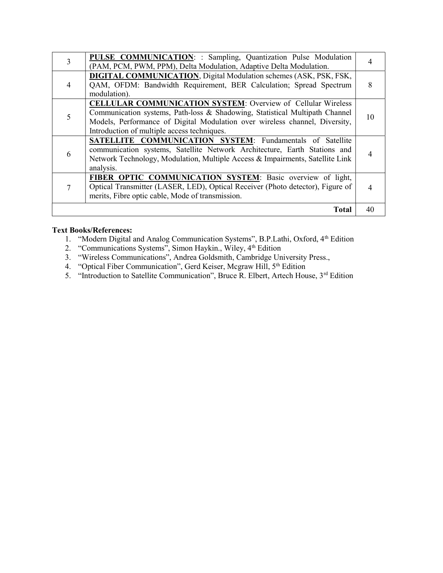| 3 | <b>PULSE COMMUNICATION: : Sampling, Quantization Pulse Modulation</b><br>(PAM, PCM, PWM, PPM), Delta Modulation, Adaptive Delta Modulation.                                                                                                                                      |    |
|---|----------------------------------------------------------------------------------------------------------------------------------------------------------------------------------------------------------------------------------------------------------------------------------|----|
|   | <b>DIGITAL COMMUNICATION, Digital Modulation schemes (ASK, PSK, FSK,</b><br>QAM, OFDM: Bandwidth Requirement, BER Calculation; Spread Spectrum<br>modulation).                                                                                                                   | 8  |
|   | <b>CELLULAR COMMUNICATION SYSTEM:</b> Overview of Cellular Wireless<br>Communication systems, Path-loss & Shadowing, Statistical Multipath Channel<br>Models, Performance of Digital Modulation over wireless channel, Diversity,<br>Introduction of multiple access techniques. | 10 |
|   | SATELLITE COMMUNICATION SYSTEM: Fundamentals of Satellite<br>communication systems, Satellite Network Architecture, Earth Stations and<br>Network Technology, Modulation, Multiple Access & Impairments, Satellite Link<br>analysis.                                             |    |
|   | FIBER OPTIC COMMUNICATION SYSTEM: Basic overview of light,<br>Optical Transmitter (LASER, LED), Optical Receiver (Photo detector), Figure of<br>merits, Fibre optic cable, Mode of transmission.                                                                                 | 4  |
|   | <b>Total</b>                                                                                                                                                                                                                                                                     | 40 |

1. "Modern Digital and Analog Communication Systems", B.P.Lathi, Oxford, 4<sup>th</sup> Edition

- 2. "Communications Systems", Simon Haykin., Wiley, 4<sup>th</sup> Edition
- 3. "Wireless Communications", Andrea Goldsmith, Cambridge University Press.,
- 4. "Optical Fiber Communication", Gerd Keiser, Mcgraw Hill, 5th Edition
- 5. "Introduction to Satellite Communication", Bruce R. Elbert, Artech House, 3<sup>rd</sup> Edition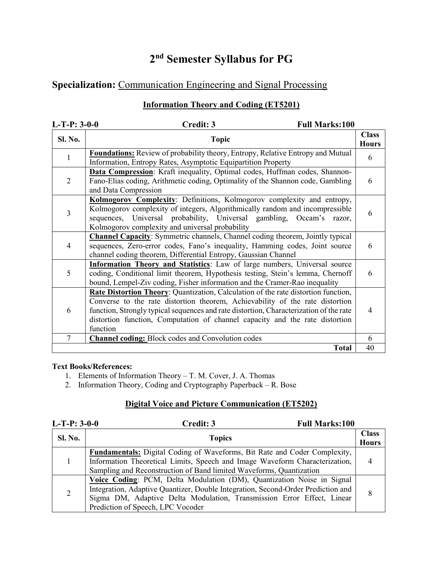## 2<sup>nd</sup> Semester Syllabus for PG

## Specialization: Communication Engineering and Signal Processing

#### Information Theory and Coding (ET5201)

| $L-T-P: 3-0-0$ | Credit: 3<br><b>Full Marks:100</b>                                                                                                                                                                                                                                                                                                                        |                              |
|----------------|-----------------------------------------------------------------------------------------------------------------------------------------------------------------------------------------------------------------------------------------------------------------------------------------------------------------------------------------------------------|------------------------------|
| Sl. No.        | <b>Topic</b>                                                                                                                                                                                                                                                                                                                                              | <b>Class</b><br><b>Hours</b> |
| $\mathbf{1}$   | <b>Foundations:</b> Review of probability theory, Entropy, Relative Entropy and Mutual<br>Information, Entropy Rates, Asymptotic Equipartition Property                                                                                                                                                                                                   | 6                            |
| $\overline{2}$ | Data Compression: Kraft inequality, Optimal codes, Huffman codes, Shannon-<br>Fano-Elias coding, Arithmetic coding, Optimality of the Shannon code, Gambling<br>and Data Compression                                                                                                                                                                      | 6                            |
| 3              | Kolmogorov Complexity: Definitions, Kolmogorov complexity and entropy,<br>Kolmogorov complexity of integers, Algorithmically random and incompressible<br>sequences, Universal probability, Universal gambling, Occam's razor,<br>Kolmogorov complexity and universal probability                                                                         | 6                            |
| 4              | <b>Channel Capacity:</b> Symmetric channels, Channel coding theorem, Jointly typical<br>sequences, Zero-error codes, Fano's inequality, Hamming codes, Joint source<br>channel coding theorem, Differential Entropy, Gaussian Channel                                                                                                                     | 6                            |
| 5              | <b>Information Theory and Statistics:</b> Law of large numbers, Universal source<br>coding, Conditional limit theorem, Hypothesis testing, Stein's lemma, Chernoff<br>bound, Lempel-Ziv coding, Fisher information and the Cramer-Rao inequality                                                                                                          | 6                            |
| 6              | Rate Distortion Theory: Quantization, Calculation of the rate distortion function,<br>Converse to the rate distortion theorem, Achievability of the rate distortion<br>function, Strongly typical sequences and rate distortion, Characterization of the rate<br>distortion function, Computation of channel capacity and the rate distortion<br>function | 4                            |
| $\overline{7}$ | <b>Channel coding:</b> Block codes and Convolution codes                                                                                                                                                                                                                                                                                                  | 6                            |
|                | <b>Total</b>                                                                                                                                                                                                                                                                                                                                              | 40                           |

#### Text Books/References:

- 1. Elements of Information Theory T. M. Cover, J. A. Thomas
- 2. Information Theory, Coding and Cryptography Paperback R. Bose

#### Digital Voice and Picture Communication (ET5202)

| $L-T-P: 3-0-0$ | <b>Full Marks:100</b><br>Credit: 3                                                                                                                                                                                                                                        |                              |
|----------------|---------------------------------------------------------------------------------------------------------------------------------------------------------------------------------------------------------------------------------------------------------------------------|------------------------------|
| <b>Sl. No.</b> | <b>Topics</b>                                                                                                                                                                                                                                                             | <b>Class</b><br><b>Hours</b> |
|                | <b>Fundamentals:</b> Digital Coding of Waveforms, Bit Rate and Coder Complexity,<br>Information Theoretical Limits, Speech and Image Waveform Characterization,<br>Sampling and Reconstruction of Band limited Waveforms, Quantization                                    |                              |
| 2              | Voice Coding: PCM, Delta Modulation (DM), Quantization Noise in Signal<br>Integration, Adaptive Quantizer, Double Integration, Second-Order Prediction and<br>Sigma DM, Adaptive Delta Modulation, Transmission Error Effect, Linear<br>Prediction of Speech, LPC Vocoder |                              |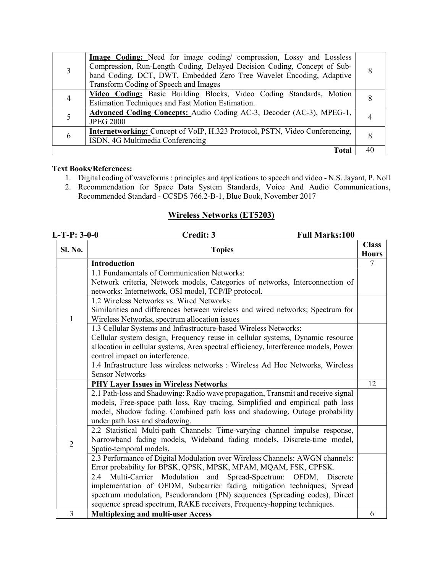|   | <b>Image Coding:</b> Need for image coding/ compression, Lossy and Lossless<br>Compression, Run-Length Coding, Delayed Decision Coding, Concept of Sub-<br>band Coding, DCT, DWT, Embedded Zero Tree Wavelet Encoding, Adaptive<br>Transform Coding of Speech and Images |    |
|---|--------------------------------------------------------------------------------------------------------------------------------------------------------------------------------------------------------------------------------------------------------------------------|----|
|   | Video Coding: Basic Building Blocks, Video Coding Standards, Motion<br>Estimation Techniques and Fast Motion Estimation.                                                                                                                                                 |    |
|   | Advanced Coding Concepts: Audio Coding AC-3, Decoder (AC-3), MPEG-1,<br><b>JPEG 2000</b>                                                                                                                                                                                 |    |
| 6 | Internetworking: Concept of VoIP, H.323 Protocol, PSTN, Video Conferencing,<br>ISDN, 4G Multimedia Conferencing                                                                                                                                                          |    |
|   | Total                                                                                                                                                                                                                                                                    | 40 |

- 1. Digital coding of waveforms : principles and applications to speech and video N.S. Jayant, P. Noll
- 2. Recommendation for Space Data System Standards, Voice And Audio Communications, Recommended Standard - CCSDS 766.2-B-1, Blue Book, November 2017

#### Wireless Networks (ET5203)

| $L-T-P: 3-0-0$ | Credit: 3<br><b>Full Marks:100</b>                                                                                                                    |                              |
|----------------|-------------------------------------------------------------------------------------------------------------------------------------------------------|------------------------------|
| Sl. No.        | <b>Topics</b>                                                                                                                                         | <b>Class</b><br><b>Hours</b> |
|                | <b>Introduction</b>                                                                                                                                   | 7                            |
|                | 1.1 Fundamentals of Communication Networks:                                                                                                           |                              |
|                | Network criteria, Network models, Categories of networks, Interconnection of                                                                          |                              |
|                | networks: Internetwork, OSI model, TCP/IP protocol.                                                                                                   |                              |
|                | 1.2 Wireless Networks vs. Wired Networks:                                                                                                             |                              |
|                | Similarities and differences between wireless and wired networks; Spectrum for                                                                        |                              |
| 1              | Wireless Networks, spectrum allocation issues                                                                                                         |                              |
|                | 1.3 Cellular Systems and Infrastructure-based Wireless Networks:                                                                                      |                              |
|                | Cellular system design, Frequency reuse in cellular systems, Dynamic resource                                                                         |                              |
|                | allocation in cellular systems, Area spectral efficiency, Interference models, Power                                                                  |                              |
|                | control impact on interference.                                                                                                                       |                              |
|                | 1.4 Infrastructure less wireless networks : Wireless Ad Hoc Networks, Wireless                                                                        |                              |
|                | <b>Sensor Networks</b>                                                                                                                                |                              |
|                | <b>PHY Layer Issues in Wireless Networks</b>                                                                                                          | 12                           |
|                | 2.1 Path-loss and Shadowing: Radio wave propagation, Transmit and receive signal                                                                      |                              |
|                | models, Free-space path loss, Ray tracing, Simplified and empirical path loss                                                                         |                              |
|                | model, Shadow fading. Combined path loss and shadowing, Outage probability                                                                            |                              |
|                | under path loss and shadowing.                                                                                                                        |                              |
|                | 2.2 Statistical Multi-path Channels: Time-varying channel impulse response,                                                                           |                              |
| $\overline{2}$ | Narrowband fading models, Wideband fading models, Discrete-time model,                                                                                |                              |
|                | Spatio-temporal models.                                                                                                                               |                              |
|                | 2.3 Performance of Digital Modulation over Wireless Channels: AWGN channels:                                                                          |                              |
|                | Error probability for BPSK, QPSK, MPSK, MPAM, MQAM, FSK, CPFSK.                                                                                       |                              |
|                | Modulation<br>Multi-Carrier<br>and<br>Spread-Spectrum:<br>$2.4^{\circ}$<br>OFDM,<br>Discrete                                                          |                              |
|                | implementation of OFDM, Subcarrier fading mitigation techniques; Spread                                                                               |                              |
|                | spectrum modulation, Pseudorandom (PN) sequences (Spreading codes), Direct<br>sequence spread spectrum, RAKE receivers, Frequency-hopping techniques. |                              |
| 3              |                                                                                                                                                       |                              |
|                | <b>Multiplexing and multi-user Access</b>                                                                                                             | 6                            |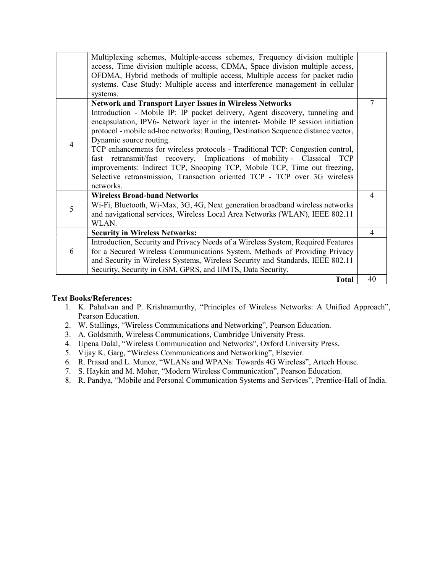|   | Multiplexing schemes, Multiple-access schemes, Frequency division multiple<br>access, Time division multiple access, CDMA, Space division multiple access,<br>OFDMA, Hybrid methods of multiple access, Multiple access for packet radio                                                                                                                                                                                                                                                                                                                                                                                      |    |
|---|-------------------------------------------------------------------------------------------------------------------------------------------------------------------------------------------------------------------------------------------------------------------------------------------------------------------------------------------------------------------------------------------------------------------------------------------------------------------------------------------------------------------------------------------------------------------------------------------------------------------------------|----|
|   | systems. Case Study: Multiple access and interference management in cellular<br>systems.                                                                                                                                                                                                                                                                                                                                                                                                                                                                                                                                      |    |
|   | <b>Network and Transport Layer Issues in Wireless Networks</b>                                                                                                                                                                                                                                                                                                                                                                                                                                                                                                                                                                | 7  |
| 4 | Introduction - Mobile IP: IP packet delivery, Agent discovery, tunneling and<br>encapsulation, IPV6- Network layer in the internet- Mobile IP session initiation<br>protocol - mobile ad-hoc networks: Routing, Destination Sequence distance vector,<br>Dynamic source routing.<br>TCP enhancements for wireless protocols - Traditional TCP: Congestion control,<br>fast retransmit/fast recovery, Implications of mobility - Classical<br><b>TCP</b><br>improvements: Indirect TCP, Snooping TCP, Mobile TCP, Time out freezing,<br>Selective retransmission, Transaction oriented TCP - TCP over 3G wireless<br>networks. |    |
|   | <b>Wireless Broad-band Networks</b>                                                                                                                                                                                                                                                                                                                                                                                                                                                                                                                                                                                           | 4  |
| 5 | Wi-Fi, Bluetooth, Wi-Max, 3G, 4G, Next generation broadband wireless networks                                                                                                                                                                                                                                                                                                                                                                                                                                                                                                                                                 |    |
|   | and navigational services, Wireless Local Area Networks (WLAN), IEEE 802.11<br>WLAN.                                                                                                                                                                                                                                                                                                                                                                                                                                                                                                                                          |    |
|   | <b>Security in Wireless Networks:</b>                                                                                                                                                                                                                                                                                                                                                                                                                                                                                                                                                                                         | 4  |
|   | Introduction, Security and Privacy Needs of a Wireless System, Required Features                                                                                                                                                                                                                                                                                                                                                                                                                                                                                                                                              |    |
| 6 | for a Secured Wireless Communications System, Methods of Providing Privacy                                                                                                                                                                                                                                                                                                                                                                                                                                                                                                                                                    |    |
|   | and Security in Wireless Systems, Wireless Security and Standards, IEEE 802.11                                                                                                                                                                                                                                                                                                                                                                                                                                                                                                                                                |    |
|   | Security, Security in GSM, GPRS, and UMTS, Data Security.                                                                                                                                                                                                                                                                                                                                                                                                                                                                                                                                                                     |    |
|   | <b>Total</b>                                                                                                                                                                                                                                                                                                                                                                                                                                                                                                                                                                                                                  | 40 |

- 1. K. Pahalvan and P. Krishnamurthy, "Principles of Wireless Networks: A Unified Approach", Pearson Education.
- 2. W. Stallings, "Wireless Communications and Networking", Pearson Education.
- 3. A. Goldsmith, Wireless Communications, Cambridge University Press.
- 4. Upena Dalal, "Wireless Communication and Networks", Oxford University Press.
- 5. Vijay K. Garg, "Wireless Communications and Networking", Elsevier.
- 6. R. Prasad and L. Munoz, "WLANs and WPANs: Towards 4G Wireless", Artech House.
- 7. S. Haykin and M. Moher, "Modern Wireless Communication", Pearson Education.
- 8. R. Pandya, "Mobile and Personal Communication Systems and Services", Prentice-Hall of India.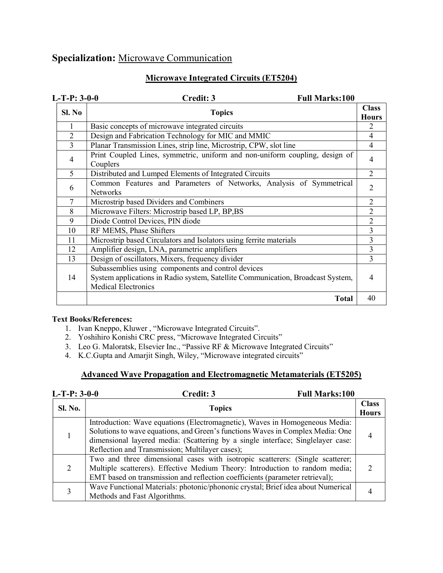## Specialization: Microwave Communication

## Microwave Integrated Circuits (ET5204)

| $L-T-P: 3-0-0$ | Credit: 3<br><b>Full Marks:100</b>                                                                                                                                  |                              |
|----------------|---------------------------------------------------------------------------------------------------------------------------------------------------------------------|------------------------------|
| Sl. No         | <b>Topics</b>                                                                                                                                                       | <b>Class</b><br><b>Hours</b> |
| 1              | Basic concepts of microwave integrated circuits                                                                                                                     | 2                            |
| $\overline{2}$ | Design and Fabrication Technology for MIC and MMIC                                                                                                                  | 4                            |
| 3              | Planar Transmission Lines, strip line, Microstrip, CPW, slot line                                                                                                   | 4                            |
| 4              | Print Coupled Lines, symmetric, uniform and non-uniform coupling, design of<br>Couplers                                                                             | 4                            |
| 5              | Distributed and Lumped Elements of Integrated Circuits                                                                                                              | $\overline{2}$               |
| 6              | Common Features and Parameters of Networks, Analysis of Symmetrical<br><b>Networks</b>                                                                              | $\overline{2}$               |
| $\overline{7}$ | Microstrip based Dividers and Combiners                                                                                                                             | $\overline{2}$               |
| 8              | Microwave Filters: Microstrip based LP, BP, BS                                                                                                                      | 2                            |
| 9              | Diode Control Devices, PIN diode                                                                                                                                    | $\overline{2}$               |
| 10             | RF MEMS, Phase Shifters                                                                                                                                             | 3                            |
| 11             | Microstrip based Circulators and Isolators using ferrite materials                                                                                                  | 3                            |
| 12             | Amplifier design, LNA, parametric amplifiers                                                                                                                        | 3                            |
| 13             | Design of oscillators, Mixers, frequency divider                                                                                                                    | 3                            |
| 14             | Subassemblies using components and control devices<br>System applications in Radio system, Satellite Communication, Broadcast System,<br><b>Medical Electronics</b> | 4                            |
|                | <b>Total</b>                                                                                                                                                        | 40                           |

#### Text Books/References:

- 1. Ivan Kneppo, Kluwer , "Microwave Integrated Circuits".
- 2. Yoshihiro Konishi CRC press, "Microwave Integrated Circuits"
- 3. Leo G. Maloratsk, Elsevier Inc., "Passive RF & Microwave Integrated Circuits"
- 4. K.C.Gupta and Amarjit Singh, Wiley, "Microwave integrated circuits"

#### Advanced Wave Propagation and Electromagnetic Metamaterials (ET5205)

| $L-T-P: 3-0-0$              | Credit: 3<br><b>Full Marks:100</b>                                                                                                                                                                                                                                                                  |                              |
|-----------------------------|-----------------------------------------------------------------------------------------------------------------------------------------------------------------------------------------------------------------------------------------------------------------------------------------------------|------------------------------|
| <b>Sl. No.</b>              | <b>Topics</b>                                                                                                                                                                                                                                                                                       | <b>Class</b><br><b>Hours</b> |
|                             | Introduction: Wave equations (Electromagnetic), Waves in Homogeneous Media:<br>Solutions to wave equations, and Green's functions Waves in Complex Media: One<br>dimensional layered media: (Scattering by a single interface; Singlelayer case:<br>Reflection and Transmission; Multilayer cases); |                              |
| $\mathcal{D}_{\mathcal{L}}$ | Two and three dimensional cases with isotropic scatterers: (Single scatterer;<br>Multiple scatterers). Effective Medium Theory: Introduction to random media;<br>EMT based on transmission and reflection coefficients (parameter retrieval);                                                       |                              |
|                             | Wave Functional Materials: photonic/phononic crystal; Brief idea about Numerical<br>Methods and Fast Algorithms.                                                                                                                                                                                    |                              |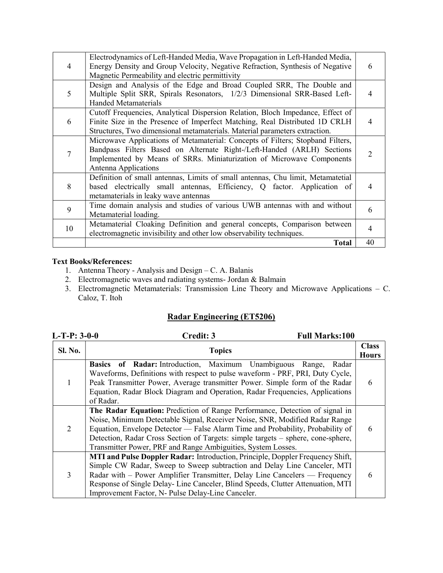| 4  | Electrodynamics of Left-Handed Media, Wave Propagation in Left-Handed Media,<br>Energy Density and Group Velocity, Negative Refraction, Synthesis of Negative<br>Magnetic Permeability and electric permittivity                                          | 6  |
|----|-----------------------------------------------------------------------------------------------------------------------------------------------------------------------------------------------------------------------------------------------------------|----|
| 5  | Design and Analysis of the Edge and Broad Coupled SRR, The Double and<br>Multiple Split SRR, Spirals Resonators, 1/2/3 Dimensional SRR-Based Left-<br><b>Handed Metamaterials</b>                                                                         |    |
| 6  | Cutoff Frequencies, Analytical Dispersion Relation, Bloch Impedance, Effect of<br>Finite Size in the Presence of Imperfect Matching, Real Distributed 1D CRLH<br>Structures, Two dimensional metamaterials. Material parameters extraction.               |    |
|    | Microwave Applications of Metamaterial: Concepts of Filters; Stopband Filters,<br>Bandpass Filters Based on Alternate Right-/Left-Handed (ARLH) Sections<br>Implemented by Means of SRRs. Miniaturization of Microwave Components<br>Antenna Applications |    |
| 8  | Definition of small antennas, Limits of small antennas, Chu limit, Metamatetial<br>based electrically small antennas, Efficiency, Q factor. Application of<br>metamaterials in leaky wave antennas                                                        | 4  |
| 9  | Time domain analysis and studies of various UWB antennas with and without<br>Metamaterial loading.                                                                                                                                                        | 6  |
| 10 | Metamaterial Cloaking Definition and general concepts, Comparison between<br>electromagnetic invisibility and other low observability techniques.                                                                                                         | 4  |
|    | <b>Total</b>                                                                                                                                                                                                                                              | 40 |

- 1. Antenna Theory Analysis and Design C. A. Balanis
- 2. Electromagnetic waves and radiating systems- Jordan & Balmain
- 3. Electromagnetic Metamaterials: Transmission Line Theory and Microwave Applications C. Caloz, T. Itoh

### Radar Engineering (ET5206)

| $L-T-P: 3-0-0$              | <b>Full Marks:100</b><br>Credit: 3                                                                                                                                                                                                                                                                                                                                                               |                              |
|-----------------------------|--------------------------------------------------------------------------------------------------------------------------------------------------------------------------------------------------------------------------------------------------------------------------------------------------------------------------------------------------------------------------------------------------|------------------------------|
| SI. No.                     | <b>Topics</b>                                                                                                                                                                                                                                                                                                                                                                                    | <b>Class</b><br><b>Hours</b> |
|                             | <b>Basics of Radar:</b> Introduction, Maximum Unambiguous Range,<br>Radar<br>Waveforms, Definitions with respect to pulse waveform - PRF, PRI, Duty Cycle,<br>Peak Transmitter Power, Average transmitter Power. Simple form of the Radar<br>Equation, Radar Block Diagram and Operation, Radar Frequencies, Applications<br>of Radar.                                                           | 6                            |
| $\mathcal{D}_{\mathcal{L}}$ | The Radar Equation: Prediction of Range Performance, Detection of signal in<br>Noise, Minimum Detectable Signal, Receiver Noise, SNR, Modified Radar Range<br>Equation, Envelope Detector — False Alarm Time and Probability, Probability of<br>Detection, Radar Cross Section of Targets: simple targets – sphere, cone-sphere,<br>Transmitter Power, PRF and Range Ambiguities, System Losses. | 6                            |
| 3                           | MTI and Pulse Doppler Radar: Introduction, Principle, Doppler Frequency Shift,<br>Simple CW Radar, Sweep to Sweep subtraction and Delay Line Canceler, MTI<br>Radar with – Power Amplifier Transmitter, Delay Line Cancelers — Frequency<br>Response of Single Delay-Line Canceler, Blind Speeds, Clutter Attenuation, MTI<br>Improvement Factor, N- Pulse Delay-Line Canceler.                  | 6                            |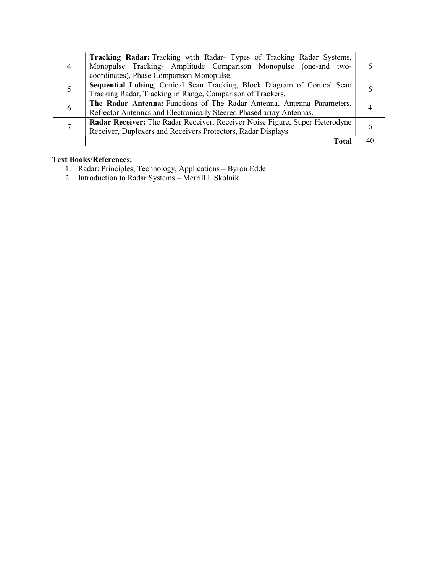|               | <b>Tracking Radar:</b> Tracking with Radar- Types of Tracking Radar Systems,<br>Monopulse Tracking- Amplitude Comparison Monopulse (one-and two-<br>coordinates), Phase Comparison Monopulse. |  |
|---------------|-----------------------------------------------------------------------------------------------------------------------------------------------------------------------------------------------|--|
|               | Sequential Lobing, Conical Scan Tracking, Block Diagram of Conical Scan<br>Tracking Radar, Tracking in Range, Comparison of Trackers.                                                         |  |
| $\mathfrak b$ | The Radar Antenna: Functions of The Radar Antenna, Antenna Parameters,<br>Reflector Antennas and Electronically Steered Phased array Antennas.                                                |  |
|               | Radar Receiver: The Radar Receiver, Receiver Noise Figure, Super Heterodyne<br>Receiver, Duplexers and Receivers Protectors, Radar Displays.                                                  |  |
|               | Tota                                                                                                                                                                                          |  |

- 1. Radar: Principles, Technology, Applications Byron Edde
- 2. Introduction to Radar Systems Merrill I. Skolnik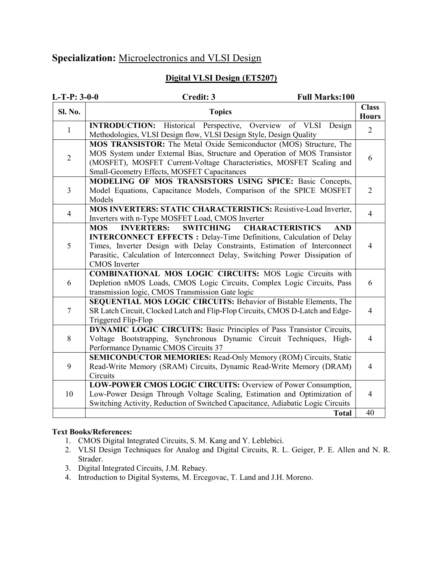## Specialization: Microelectronics and VLSI Design

#### Digital VLSI Design (ET5207)

| $L-T-P: 3-0-0$ | <b>Full Marks:100</b><br>Credit: 3                                                                                                                                                                                                                                                                                                                             |                              |
|----------------|----------------------------------------------------------------------------------------------------------------------------------------------------------------------------------------------------------------------------------------------------------------------------------------------------------------------------------------------------------------|------------------------------|
| Sl. No.        | <b>Topics</b>                                                                                                                                                                                                                                                                                                                                                  | <b>Class</b><br><b>Hours</b> |
| $\mathbf{1}$   | <b>INTRODUCTION:</b> Historical Perspective, Overview of VLSI<br>Design<br>Methodologies, VLSI Design flow, VLSI Design Style, Design Quality                                                                                                                                                                                                                  | $\overline{2}$               |
| $\overline{2}$ | MOS TRANSISTOR: The Metal Oxide Semiconductor (MOS) Structure, The<br>MOS System under External Bias, Structure and Operation of MOS Transistor<br>(MOSFET), MOSFET Current-Voltage Characteristics, MOSFET Scaling and<br>Small-Geometry Effects, MOSFET Capacitances                                                                                         | 6                            |
| 3              | MODELING OF MOS TRANSISTORS USING SPICE: Basic Concepts,<br>Model Equations, Capacitance Models, Comparison of the SPICE MOSFET<br>Models                                                                                                                                                                                                                      | $\overline{2}$               |
| $\overline{4}$ | <b>MOS INVERTERS: STATIC CHARACTERISTICS: Resistive-Load Inverter,</b><br>Inverters with n-Type MOSFET Load, CMOS Inverter                                                                                                                                                                                                                                     | $\overline{4}$               |
| 5              | <b>INVERTERS:</b><br><b>SWITCHING</b><br><b>MOS</b><br><b>CHARACTERISTICS</b><br><b>AND</b><br><b>INTERCONNECT EFFECTS : Delay-Time Definitions, Calculation of Delay</b><br>Times, Inverter Design with Delay Constraints, Estimation of Interconnect<br>Parasitic, Calculation of Interconnect Delay, Switching Power Dissipation of<br><b>CMOS</b> Inverter | $\overline{4}$               |
| 6              | <b>COMBINATIONAL MOS LOGIC CIRCUITS: MOS Logic Circuits with</b><br>Depletion nMOS Loads, CMOS Logic Circuits, Complex Logic Circuits, Pass<br>transmission logic, CMOS Transmission Gate logic                                                                                                                                                                | 6                            |
| $\tau$         | SEQUENTIAL MOS LOGIC CIRCUITS: Behavior of Bistable Elements, The<br>SR Latch Circuit, Clocked Latch and Flip-Flop Circuits, CMOS D-Latch and Edge-<br>Triggered Flip-Flop                                                                                                                                                                                     | $\overline{4}$               |
| 8              | <b>DYNAMIC LOGIC CIRCUITS: Basic Principles of Pass Transistor Circuits,</b><br>Voltage Bootstrapping, Synchronous Dynamic Circuit Techniques, High-<br>Performance Dynamic CMOS Circuits 37                                                                                                                                                                   | $\overline{4}$               |
| 9              | SEMICONDUCTOR MEMORIES: Read-Only Memory (ROM) Circuits, Static<br>Read-Write Memory (SRAM) Circuits, Dynamic Read-Write Memory (DRAM)<br>Circuits                                                                                                                                                                                                             | $\overline{4}$               |
| 10             | LOW-POWER CMOS LOGIC CIRCUITS: Overview of Power Consumption,<br>Low-Power Design Through Voltage Scaling, Estimation and Optimization of<br>Switching Activity, Reduction of Switched Capacitance, Adiabatic Logic Circuits                                                                                                                                   | $\overline{\mathcal{A}}$     |
|                | <b>Total</b>                                                                                                                                                                                                                                                                                                                                                   | 40                           |

- 1. CMOS Digital Integrated Circuits, S. M. Kang and Y. Leblebici.
- 2. VLSI Design Techniques for Analog and Digital Circuits, R. L. Geiger, P. E. Allen and N. R. Strader.
- 3. Digital Integrated Circuits, J.M. Rebaey.
- 4. Introduction to Digital Systems, M. Ercegovac, T. Land and J.H. Moreno.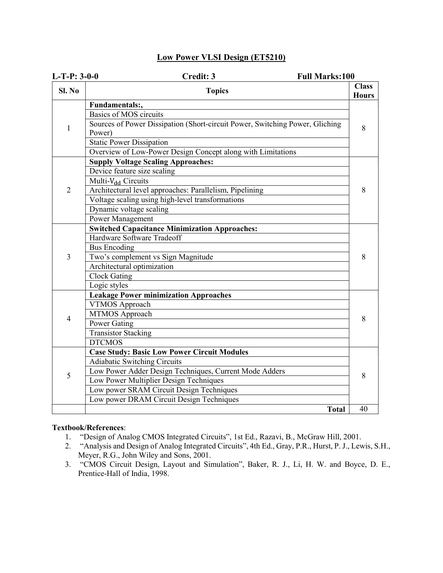#### Low Power VLSI Design (ET5210)

| $L-T-P: 3-0-0$      | Credit: 3<br><b>Full Marks:100</b>                                                                                                                                                                                                                                                                                                                                                                                                                                |                              |
|---------------------|-------------------------------------------------------------------------------------------------------------------------------------------------------------------------------------------------------------------------------------------------------------------------------------------------------------------------------------------------------------------------------------------------------------------------------------------------------------------|------------------------------|
| $SL$ No             | <b>Topics</b>                                                                                                                                                                                                                                                                                                                                                                                                                                                     | <b>Class</b><br><b>Hours</b> |
| 1<br>$\overline{2}$ | Fundamentals:,<br>Basics of MOS circuits<br>Sources of Power Dissipation (Short-circuit Power, Switching Power, Gliching<br>Power)<br><b>Static Power Dissipation</b><br>Overview of Low-Power Design Concept along with Limitations<br><b>Supply Voltage Scaling Approaches:</b><br>Device feature size scaling<br>Multi-V <sub>dd</sub> Circuits<br>Architectural level approaches: Parallelism, Pipelining<br>Voltage scaling using high-level transformations | 8<br>8                       |
|                     | Dynamic voltage scaling<br>Power Management                                                                                                                                                                                                                                                                                                                                                                                                                       |                              |
| 3                   | <b>Switched Capacitance Minimization Approaches:</b><br>Hardware Software Tradeoff<br><b>Bus Encoding</b><br>Two's complement vs Sign Magnitude<br>Architectural optimization<br><b>Clock Gating</b><br>Logic styles                                                                                                                                                                                                                                              | 8                            |
| $\overline{4}$      | <b>Leakage Power minimization Approaches</b><br>VTMOS Approach<br>MTMOS Approach<br>Power Gating<br><b>Transistor Stacking</b><br><b>DTCMOS</b>                                                                                                                                                                                                                                                                                                                   | 8                            |
| 5                   | <b>Case Study: Basic Low Power Circuit Modules</b><br>Adiabatic Switching Circuits<br>Low Power Adder Design Techniques, Current Mode Adders<br>Low Power Multiplier Design Techniques<br>Low power SRAM Circuit Design Techniques<br>Low power DRAM Circuit Design Techniques                                                                                                                                                                                    | 8                            |
|                     | <b>Total</b>                                                                                                                                                                                                                                                                                                                                                                                                                                                      | 40                           |

- 1. "Design of Analog CMOS Integrated Circuits", 1st Ed., Razavi, B., McGraw Hill, 2001.
- 2. "Analysis and Design of Analog Integrated Circuits", 4th Ed., Gray, P.R., Hurst, P. J., Lewis, S.H., Meyer, R.G., John Wiley and Sons, 2001.
- 3. "CMOS Circuit Design, Layout and Simulation", Baker, R. J., Li, H. W. and Boyce, D. E., Prentice-Hall of India, 1998.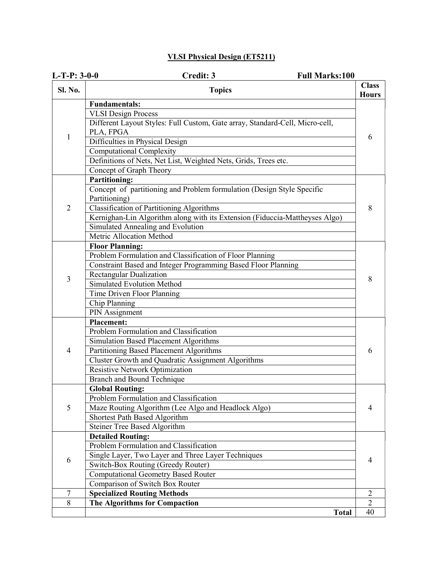### VLSI Physical Design (ET5211)

| $L-T-P: 3-0-0$ | Credit: 3<br><b>Full Marks:100</b>                                                      |                              |
|----------------|-----------------------------------------------------------------------------------------|------------------------------|
| <b>Sl. No.</b> | <b>Topics</b>                                                                           | <b>Class</b><br><b>Hours</b> |
|                | <b>Fundamentals:</b>                                                                    |                              |
|                | <b>VLSI Design Process</b>                                                              |                              |
|                | Different Layout Styles: Full Custom, Gate array, Standard-Cell, Micro-cell,            |                              |
| 1              | PLA, FPGA                                                                               | 6                            |
|                | Difficulties in Physical Design                                                         |                              |
|                | <b>Computational Complexity</b>                                                         |                              |
|                | Definitions of Nets, Net List, Weighted Nets, Grids, Trees etc.                         |                              |
|                | Concept of Graph Theory                                                                 |                              |
|                | <b>Partitioning:</b>                                                                    |                              |
|                | Concept of partitioning and Problem formulation (Design Style Specific<br>Partitioning) |                              |
| $\overline{2}$ | Classification of Partitioning Algorithms                                               | 8                            |
|                | Kernighan-Lin Algorithm along with its Extension (Fiduccia-Mattheyses Algo)             |                              |
|                | Simulated Annealing and Evolution                                                       |                              |
|                | Metric Allocation Method                                                                |                              |
|                | <b>Floor Planning:</b>                                                                  |                              |
|                | Problem Formulation and Classification of Floor Planning                                |                              |
|                | Constraint Based and Integer Programming Based Floor Planning                           |                              |
|                | Rectangular Dualization                                                                 |                              |
| 3              | Simulated Evolution Method                                                              | 8                            |
|                | Time Driven Floor Planning                                                              |                              |
|                | Chip Planning                                                                           |                              |
|                | PIN Assignment                                                                          |                              |
|                | <b>Placement:</b>                                                                       |                              |
|                | Problem Formulation and Classification                                                  |                              |
|                | Simulation Based Placement Algorithms                                                   |                              |
| $\overline{4}$ | Partitioning Based Placement Algorithms                                                 | 6                            |
|                | <b>Cluster Growth and Quadratic Assignment Algorithms</b>                               |                              |
|                | <b>Resistive Network Optimization</b>                                                   |                              |
|                | Branch and Bound Technique                                                              |                              |
|                | <b>Global Routing:</b>                                                                  |                              |
|                | Problem Formulation and Classification                                                  |                              |
| 5              | Maze Routing Algorithm (Lee Algo and Headlock Algo)                                     | 4                            |
|                | Shortest Path Based Algorithm                                                           |                              |
|                | <b>Steiner Tree Based Algorithm</b>                                                     |                              |
|                | <b>Detailed Routing:</b>                                                                |                              |
|                | Problem Formulation and Classification                                                  |                              |
| 6              | Single Layer, Two Layer and Three Layer Techniques                                      | 4                            |
|                | Switch-Box Routing (Greedy Router)                                                      |                              |
|                | <b>Computational Geometry Based Router</b>                                              |                              |
|                | Comparison of Switch Box Router                                                         |                              |
| 7              | <b>Specialized Routing Methods</b>                                                      | 2                            |
| 8              | The Algorithms for Compaction                                                           | $\overline{2}$               |
|                | <b>Total</b>                                                                            | 40                           |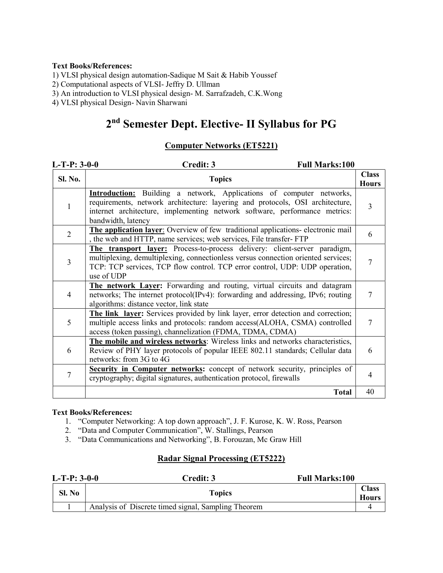1) VLSI physical design automation-Sadique M Sait & Habib Youssef

2) Computational aspects of VLSI- Jeffry D. Ullman

3) An introduction to VLSI physical design- M. Sarrafzadeh, C.K.Wong

4) VLSI physical Design- Navin Sharwani

## 2 nd Semester Dept. Elective- II Syllabus for PG

#### Computer Networks (ET5221)

| $L-T-P: 3-0-0$ | <b>Full Marks:100</b><br>Credit: 3                                                                                                                                                                                                                               |                              |
|----------------|------------------------------------------------------------------------------------------------------------------------------------------------------------------------------------------------------------------------------------------------------------------|------------------------------|
| Sl. No.        | <b>Topics</b>                                                                                                                                                                                                                                                    | <b>Class</b><br><b>Hours</b> |
| 1              | <b>Introduction:</b> Building a network, Applications of computer networks,<br>requirements, network architecture: layering and protocols, OSI architecture,<br>internet architecture, implementing network software, performance metrics:<br>bandwidth, latency | $\overline{3}$               |
| $\overline{2}$ | The application layer: Overview of few traditional applications- electronic mail<br>, the web and HTTP, name services; web services, File transfer-FTP                                                                                                           | 6                            |
| 3              | The transport layer: Process-to-process delivery: client-server paradigm,<br>multiplexing, demultiplexing, connectionless versus connection oriented services;<br>TCP: TCP services, TCP flow control. TCP error control, UDP: UDP operation,<br>use of UDP      |                              |
| 4              | The network Layer: Forwarding and routing, virtual circuits and datagram<br>networks; The internet protocol(IPv4): forwarding and addressing, IPv6; routing<br>algorithms: distance vector, link state                                                           | 7                            |
| 5              | The link layer: Services provided by link layer, error detection and correction;<br>multiple access links and protocols: random access(ALOHA, CSMA) controlled<br>access (token passing), channelization (FDMA, TDMA, CDMA)                                      | 7                            |
| 6              | The mobile and wireless networks: Wireless links and networks characteristics,<br>Review of PHY layer protocols of popular IEEE 802.11 standards; Cellular data<br>networks: from 3G to 4G                                                                       | 6                            |
| 7              | Security in Computer networks: concept of network security, principles of<br>cryptography; digital signatures, authentication protocol, firewalls                                                                                                                | 4                            |
|                | <b>Total</b>                                                                                                                                                                                                                                                     | 40                           |

#### Text Books/References:

- 1. "Computer Networking: A top down approach", J. F. Kurose, K. W. Ross, Pearson
- 2. "Data and Computer Communication", W. Stallings, Pearson
- 3. "Data Communications and Networking", B. Forouzan, Mc Graw Hill

#### Radar Signal Processing (ET5222)

| $L-T-P: 3-0-0$ |        | <b>Full Marks:100</b><br>Credit: 3                  |                              |
|----------------|--------|-----------------------------------------------------|------------------------------|
|                | Sl. No | <b>Topics</b>                                       | <b>Class</b><br><b>Hours</b> |
|                |        | Analysis of Discrete timed signal, Sampling Theorem |                              |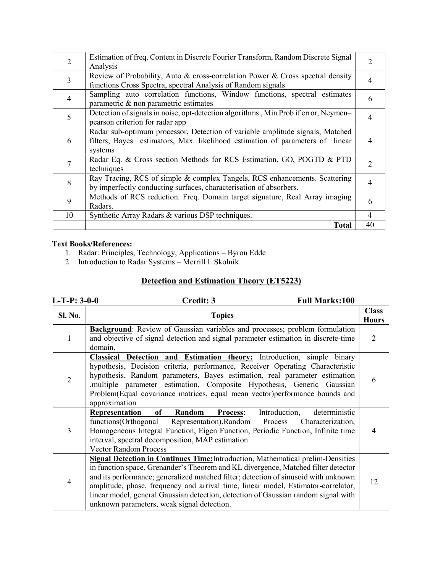| $\overline{2}$ | Estimation of freq. Content in Discrete Fourier Transform, Random Discrete Signal<br>Analysis                                                                             |    |  |
|----------------|---------------------------------------------------------------------------------------------------------------------------------------------------------------------------|----|--|
| 3              | Review of Probability, Auto & cross-correlation Power & Cross spectral density<br>functions Cross Spectra, spectral Analysis of Random signals                            |    |  |
| 4              | Sampling auto correlation functions, Window functions, spectral estimates<br>parametric & non parametric estimates                                                        |    |  |
| 5              | Detection of signals in noise, opt-detection algorithms, Min Prob if error, Neymen-<br>pearson criterion for radar app                                                    |    |  |
| 6              | Radar sub-optimum processor, Detection of variable amplitude signals, Matched<br>filters, Bayes estimators, Max. likelihood estimation of parameters of linear<br>systems |    |  |
|                | Radar Eq. & Cross section Methods for RCS Estimation, GO, POGTD & PTD<br>techniques                                                                                       |    |  |
| 8              | Ray Tracing, RCS of simple & complex Tangels, RCS enhancements. Scattering<br>by imperfectly conducting surfaces, characterisation of absorbers.                          |    |  |
| 9              | Methods of RCS reduction. Freq. Domain target signature, Real Array imaging<br>Radars.                                                                                    |    |  |
| 10             | Synthetic Array Radars & various DSP techniques.                                                                                                                          | 4  |  |
|                | <b>Total</b>                                                                                                                                                              | 40 |  |

- 1. Radar: Principles, Technology, Applications Byron Edde
- 2. Introduction to Radar Systems Merrill I. Skolnik

## Detection and Estimation Theory (ET5223)

| $L-T-P: 3-0-0$ | Credit: 3<br><b>Full Marks:100</b>                                                                                                                                                                                                                                                                                                                                                                                                                                                          |   |
|----------------|---------------------------------------------------------------------------------------------------------------------------------------------------------------------------------------------------------------------------------------------------------------------------------------------------------------------------------------------------------------------------------------------------------------------------------------------------------------------------------------------|---|
| <b>Sl. No.</b> | <b>Topics</b>                                                                                                                                                                                                                                                                                                                                                                                                                                                                               |   |
| 1              | Background: Review of Gaussian variables and processes; problem formulation<br>and objective of signal detection and signal parameter estimation in discrete-time<br>domain.                                                                                                                                                                                                                                                                                                                |   |
| 2              | <b>Classical Detection and Estimation theory:</b> Introduction, simple binary<br>hypothesis, Decision criteria, performance, Receiver Operating Characteristic<br>hypothesis, Random parameters, Bayes estimation, real parameter estimation<br>, multiple parameter estimation, Composite Hypothesis, Generic Gaussian<br>Problem(Equal covariance matrices, equal mean vector)performance bounds and<br>approximation                                                                     |   |
| 3              | deterministic<br>Introduction,<br>Representation<br>of Random<br>Process:<br>functions(Orthogonal Representation), Random Process<br>Characterization,<br>Homogeneous Integral Function, Eigen Function, Periodic Function, Infinite time<br>interval, spectral decomposition, MAP estimation<br><b>Vector Random Process</b>                                                                                                                                                               | 4 |
| 4              | <b>Signal Detection in Continues Time:</b> Introduction, Mathematical prelim-Densities<br>in function space, Grenander's Theorem and KL divergence, Matched filter detector<br>and its performance; generalized matched filter; detection of sinusoid with unknown<br>amplitude, phase, frequency and arrival time, linear model, Estimator-correlator,<br>linear model, general Gaussian detection, detection of Gaussian random signal with<br>unknown parameters, weak signal detection. |   |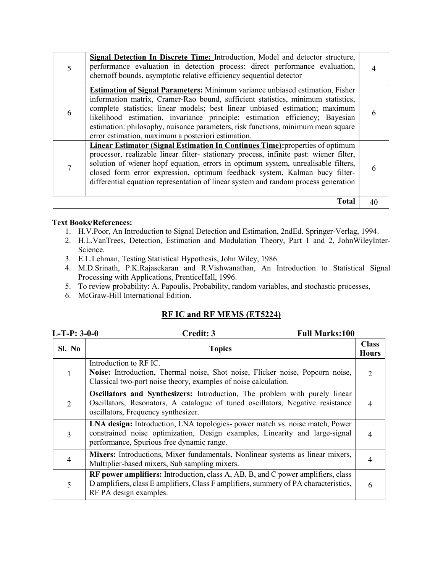|   | Signal Detection In Discrete Time: Introduction, Model and detector structure,<br>performance evaluation in detection process: direct performance evaluation,<br>chernoff bounds, asymptotic relative efficiency sequential detector                                                                                                                                                                                                                                               |  |
|---|------------------------------------------------------------------------------------------------------------------------------------------------------------------------------------------------------------------------------------------------------------------------------------------------------------------------------------------------------------------------------------------------------------------------------------------------------------------------------------|--|
| 6 | <b>Estimation of Signal Parameters:</b> Minimum variance unbiased estimation, Fisher<br>information matrix, Cramer-Rao bound, sufficient statistics, minimum statistics,<br>complete statistics; linear models; best linear unbiased estimation; maximum<br>likelihood estimation, invariance principle; estimation efficiency; Bayesian<br>estimation: philosophy, nuisance parameters, risk functions, minimum mean square<br>error estimation, maximum a posteriori estimation. |  |
|   | Linear Estimator (Signal Estimation In Continues Time): properties of optimum<br>processor, realizable linear filter- stationary process, infinite past: wiener filter,<br>solution of wiener hopf equation, errors in optimum system, unrealisable filters,<br>closed form error expression, optimum feedback system, Kalman bucy filter-<br>differential equation representation of linear system and random process generation                                                  |  |
|   | <b>Total</b>                                                                                                                                                                                                                                                                                                                                                                                                                                                                       |  |

- 1. H.V.Poor, An Introduction to Signal Detection and Estimation, 2ndEd. Springer-Verlag, 1994.
- 2. H.L.VanTrees, Detection, Estimation and Modulation Theory, Part 1 and 2, JohnWileyInter-Science.
- 3. E.L.Lehman, Testing Statistical Hypothesis, John Wiley, 1986.
- 4. M.D.Srinath, P.K.Rajasekaran and R.Vishwanathan, An Introduction to Statistical Signal Processing with Applications, PrenticeHall, 1996.
- 5. To review probability: A. Papoulis, Probability, random variables, and stochastic processes,
- 6. McGraw-Hill International Edition.

#### RF IC and RF MEMS (ET5224)

| $L-T-P: 3-0-0$ | <b>Full Marks:100</b><br>Credit: 3                                                                                                                                                                        |                              |
|----------------|-----------------------------------------------------------------------------------------------------------------------------------------------------------------------------------------------------------|------------------------------|
| Sl. No         | <b>Topics</b>                                                                                                                                                                                             | <b>Class</b><br><b>Hours</b> |
|                | Introduction to RF IC.<br>Noise: Introduction, Thermal noise, Shot noise, Flicker noise, Popcorn noise,<br>Classical two-port noise theory, examples of noise calculation.                                |                              |
| 2              | Oscillators and Synthesizers: Introduction, The problem with purely linear<br>Oscillators, Resonators, A catalogue of tuned oscillators, Negative resistance<br>oscillators, Frequency synthesizer.       | 4                            |
| 3              | LNA design: Introduction, LNA topologies- power match vs. noise match, Power<br>constrained noise optimization, Design examples, Linearity and large-signal<br>performance, Spurious free dynamic range.  | 4                            |
| 4              | Mixers: Introductions, Mixer fundamentals, Nonlinear systems as linear mixers,<br>Multiplier-based mixers, Sub sampling mixers.                                                                           | 4                            |
| 5              | <b>RF</b> power amplifiers: Introduction, class A, AB, B, and C power amplifiers, class<br>D amplifiers, class E amplifiers, Class F amplifiers, summery of PA characteristics,<br>RF PA design examples. | 6                            |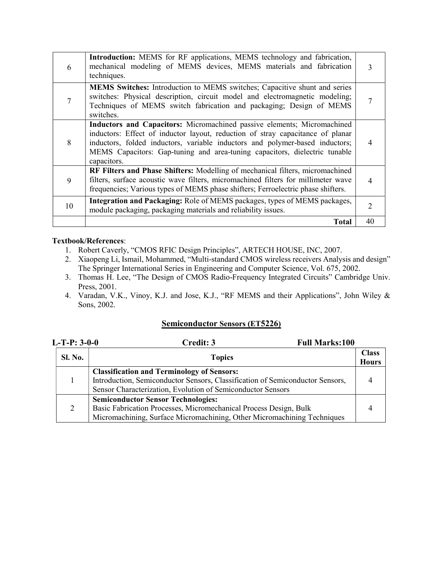| 6  | Introduction: MEMS for RF applications, MEMS technology and fabrication,<br>mechanical modeling of MEMS devices, MEMS materials and fabrication<br>techniques.                                                                                                                                                                         |               |
|----|----------------------------------------------------------------------------------------------------------------------------------------------------------------------------------------------------------------------------------------------------------------------------------------------------------------------------------------|---------------|
|    | <b>MEMS Switches:</b> Introduction to MEMS switches; Capacitive shunt and series<br>switches: Physical description, circuit model and electromagnetic modeling;<br>Techniques of MEMS switch fabrication and packaging; Design of MEMS<br>switches.                                                                                    |               |
| 8  | Inductors and Capacitors: Micromachined passive elements; Micromachined<br>inductors: Effect of inductor layout, reduction of stray capacitance of planar<br>inductors, folded inductors, variable inductors and polymer-based inductors;<br>MEMS Capacitors: Gap-tuning and area-tuning capacitors, dielectric tunable<br>capacitors. |               |
| 9  | RF Filters and Phase Shifters: Modelling of mechanical filters, micromachined<br>filters, surface acoustic wave filters, micromachined filters for millimeter wave<br>frequencies; Various types of MEMS phase shifters; Ferroelectric phase shifters.                                                                                 | 4             |
| 10 | Integration and Packaging: Role of MEMS packages, types of MEMS packages,<br>module packaging, packaging materials and reliability issues.                                                                                                                                                                                             | $\mathcal{D}$ |
|    | <b>Total</b>                                                                                                                                                                                                                                                                                                                           | 40            |

- 1. Robert Caverly, "CMOS RFIC Design Principles", ARTECH HOUSE, INC, 2007.
- 2. Xiaopeng Li, Ismail, Mohammed, "Multi-standard CMOS wireless receivers Analysis and design" The Springer International Series in Engineering and Computer Science, Vol. 675, 2002.
- 3. Thomas H. Lee, "The Design of CMOS Radio-Frequency Integrated Circuits" Cambridge Univ. Press, 2001.
- 4. Varadan, V.K., Vinoy, K.J. and Jose, K.J., "RF MEMS and their Applications", John Wiley & Sons, 2002.

#### Semiconductor Sensors (ET5226)

| $L-T-P: 3-0-0$ | <b>Full Marks:100</b><br>Credit: 3                                                                                                                                                                |                              |
|----------------|---------------------------------------------------------------------------------------------------------------------------------------------------------------------------------------------------|------------------------------|
| <b>Sl. No.</b> | <b>Topics</b>                                                                                                                                                                                     | <b>Class</b><br><b>Hours</b> |
|                | <b>Classification and Terminology of Sensors:</b><br>Introduction, Semiconductor Sensors, Classification of Semiconductor Sensors,<br>Sensor Characterization, Evolution of Semiconductor Sensors |                              |
| 2              | <b>Semiconductor Sensor Technologies:</b><br>Basic Fabrication Processes, Micromechanical Process Design, Bulk<br>Micromachining, Surface Micromachining, Other Micromachining Techniques         |                              |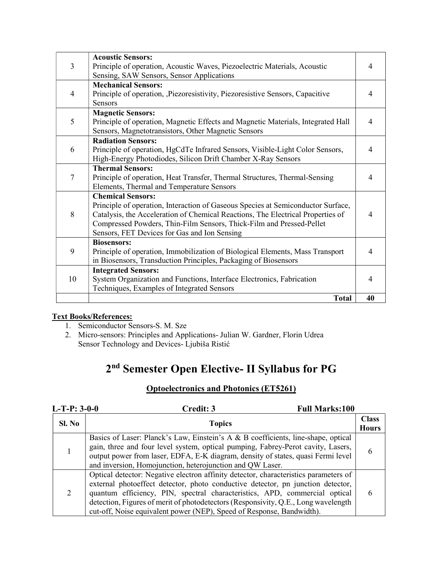| 3  | <b>Acoustic Sensors:</b><br>Principle of operation, Acoustic Waves, Piezoelectric Materials, Acoustic<br>Sensing, SAW Sensors, Sensor Applications                                                                                                                                                                                                                                                                                                                            |    |  |  |
|----|-------------------------------------------------------------------------------------------------------------------------------------------------------------------------------------------------------------------------------------------------------------------------------------------------------------------------------------------------------------------------------------------------------------------------------------------------------------------------------|----|--|--|
| 4  | <b>Mechanical Sensors:</b><br>Principle of operation, Piezoresistivity, Piezoresistive Sensors, Capacitive<br><b>Sensors</b>                                                                                                                                                                                                                                                                                                                                                  |    |  |  |
| 5  | <b>Magnetic Sensors:</b><br>Principle of operation, Magnetic Effects and Magnetic Materials, Integrated Hall<br>Sensors, Magnetotransistors, Other Magnetic Sensors                                                                                                                                                                                                                                                                                                           |    |  |  |
| 6  | <b>Radiation Sensors:</b><br>Principle of operation, HgCdTe Infrared Sensors, Visible-Light Color Sensors,<br>High-Energy Photodiodes, Silicon Drift Chamber X-Ray Sensors                                                                                                                                                                                                                                                                                                    | 4  |  |  |
| 7  | <b>Thermal Sensors:</b><br>Principle of operation, Heat Transfer, Thermal Structures, Thermal-Sensing<br>Elements, Thermal and Temperature Sensors<br><b>Chemical Sensors:</b><br>Principle of operation, Interaction of Gaseous Species at Semiconductor Surface,<br>Catalysis, the Acceleration of Chemical Reactions, The Electrical Properties of<br>Compressed Powders, Thin-Film Sensors, Thick-Film and Pressed-Pellet<br>Sensors, FET Devices for Gas and Ion Sensing |    |  |  |
| 8  |                                                                                                                                                                                                                                                                                                                                                                                                                                                                               |    |  |  |
| 9  | <b>Biosensors:</b><br>Principle of operation, Immobilization of Biological Elements, Mass Transport<br>in Biosensors, Transduction Principles, Packaging of Biosensors                                                                                                                                                                                                                                                                                                        |    |  |  |
| 10 | <b>Integrated Sensors:</b><br>System Organization and Functions, Interface Electronics, Fabrication<br>Techniques, Examples of Integrated Sensors                                                                                                                                                                                                                                                                                                                             |    |  |  |
|    | <b>Total</b>                                                                                                                                                                                                                                                                                                                                                                                                                                                                  | 40 |  |  |

- 1. Semiconductor Sensors-S. M. Sze
- 2. Micro-sensors: Principles and Applications- Julian W. Gardner, Florin Udrea Sensor Technology and Devices- Ljubiša Ristić

## 2 nd Semester Open Elective- II Syllabus for PG

### Optoelectronics and Photonics (ET5261)

| $L-T-P: 3-0-0$          | Credit: 3                                                                                                                                                                                                                                                                                                                                                                                                            | <b>Full Marks:100</b>        |
|-------------------------|----------------------------------------------------------------------------------------------------------------------------------------------------------------------------------------------------------------------------------------------------------------------------------------------------------------------------------------------------------------------------------------------------------------------|------------------------------|
| Sl. No<br><b>Topics</b> |                                                                                                                                                                                                                                                                                                                                                                                                                      | <b>Class</b><br><b>Hours</b> |
|                         | Basics of Laser: Planck's Law, Einstein's A & B coefficients, line-shape, optical<br>gain, three and four level system, optical pumping, Fabrey-Perot cavity, Lasers,<br>output power from laser, EDFA, E-K diagram, density of states, quasi Fermi level<br>and inversion, Homojunction, heterojunction and QW Laser.                                                                                               | O                            |
| 2                       | Optical detector: Negative electron affinity detector, characteristics parameters of<br>external photoeffect detector, photo conductive detector, pn junction detector,<br>quantum efficiency, PIN, spectral characteristics, APD, commercial optical<br>detection, Figures of merit of photodetectors (Responsivity, Q.E., Long wavelength<br>cut-off, Noise equivalent power (NEP), Speed of Response, Bandwidth). |                              |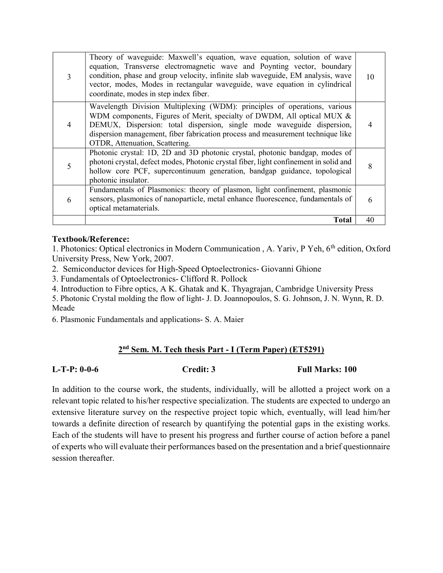| 3 | Theory of waveguide: Maxwell's equation, wave equation, solution of wave<br>equation, Transverse electromagnetic wave and Poynting vector, boundary<br>condition, phase and group velocity, infinite slab waveguide, EM analysis, wave<br>vector, modes, Modes in rectangular waveguide, wave equation in cylindrical<br>coordinate, modes in step index fiber. | 10 |
|---|-----------------------------------------------------------------------------------------------------------------------------------------------------------------------------------------------------------------------------------------------------------------------------------------------------------------------------------------------------------------|----|
| 4 | Wavelength Division Multiplexing (WDM): principles of operations, various<br>WDM components, Figures of Merit, specialty of DWDM, All optical MUX &<br>DEMUX, Dispersion: total dispersion, single mode waveguide dispersion,<br>dispersion management, fiber fabrication process and measurement technique like<br>OTDR, Attenuation, Scattering.              |    |
| 5 | Photonic crystal: 1D, 2D and 3D photonic crystal, photonic bandgap, modes of<br>photoni crystal, defect modes, Photonic crystal fiber, light confinement in solid and<br>hollow core PCF, supercontinuum generation, bandgap guidance, topological<br>photonic insulator.                                                                                       | 8  |
| 6 | Fundamentals of Plasmonics: theory of plasmon, light confinement, plasmonic<br>sensors, plasmonics of nanoparticle, metal enhance fluorescence, fundamentals of<br>optical metamaterials.                                                                                                                                                                       | 6  |
|   | Total                                                                                                                                                                                                                                                                                                                                                           | 40 |

#### Textbook/Reference:

1. Photonics: Optical electronics in Modern Communication, A. Yariv, P Yeh, 6<sup>th</sup> edition, Oxford University Press, New York, 2007.

2. Semiconductor devices for High-Speed Optoelectronics- Giovanni Ghione

3. Fundamentals of Optoelectronics- Clifford R. Pollock

4. Introduction to Fibre optics, A K. Ghatak and K. Thyagrajan, Cambridge University Press

5. Photonic Crystal molding the flow of light- J. D. Joannopoulos, S. G. Johnson, J. N. Wynn, R. D. Meade

6. Plasmonic Fundamentals and applications- S. A. Maier

#### 2 nd Sem. M. Tech thesis Part - I (Term Paper) (ET5291)

L-T-P: 0-0-6 Credit: 3 Full Marks: 100

In addition to the course work, the students, individually, will be allotted a project work on a relevant topic related to his/her respective specialization. The students are expected to undergo an extensive literature survey on the respective project topic which, eventually, will lead him/her towards a definite direction of research by quantifying the potential gaps in the existing works. Each of the students will have to present his progress and further course of action before a panel of experts who will evaluate their performances based on the presentation and a brief questionnaire session thereafter.